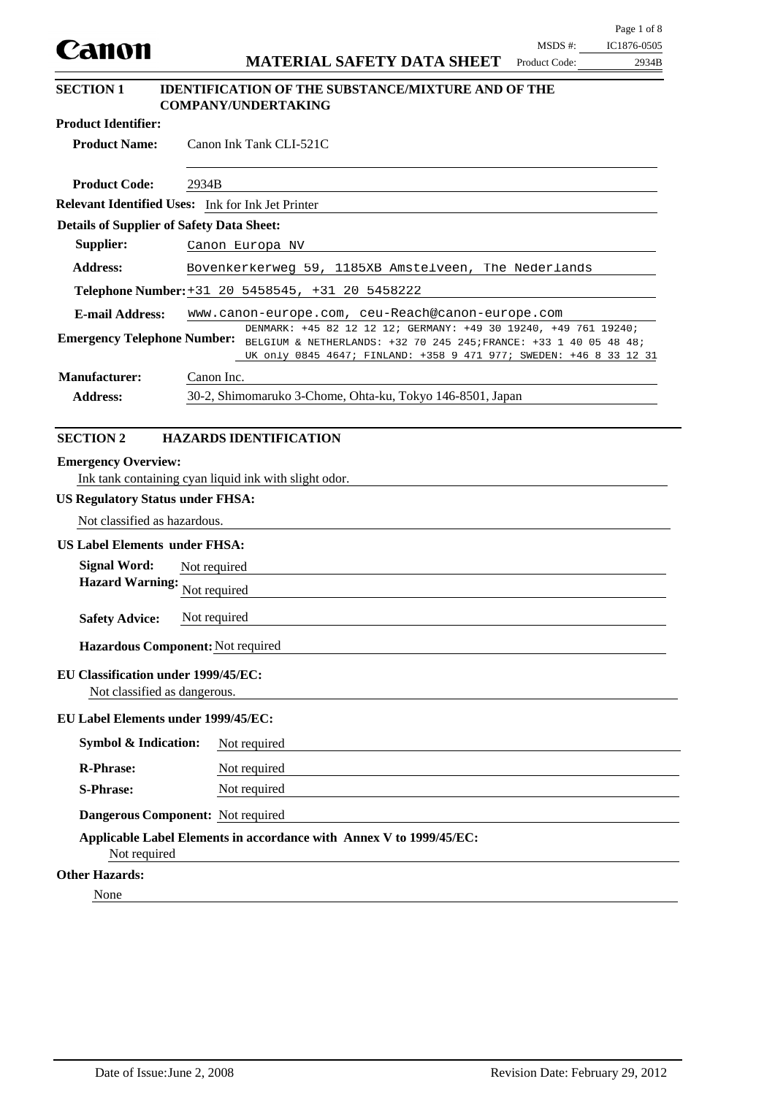#### **SECTION 1 IDENTIFICATION OF THE SUBSTANCE/MIXTURE AND OF THE COMPANY/UNDERTAKING**

| <b>Product Identifier:</b>                                                                                                                                                                     |                                                                                                                                                                                                                                        |
|------------------------------------------------------------------------------------------------------------------------------------------------------------------------------------------------|----------------------------------------------------------------------------------------------------------------------------------------------------------------------------------------------------------------------------------------|
| <b>Product Name:</b>                                                                                                                                                                           | Canon Ink Tank CLI-521C                                                                                                                                                                                                                |
| <b>Product Code:</b>                                                                                                                                                                           | 2934B                                                                                                                                                                                                                                  |
|                                                                                                                                                                                                | Relevant Identified Uses: Ink for Ink Jet Printer                                                                                                                                                                                      |
| <b>Details of Supplier of Safety Data Sheet:</b>                                                                                                                                               |                                                                                                                                                                                                                                        |
| Supplier:                                                                                                                                                                                      | Canon Europa NV                                                                                                                                                                                                                        |
| <b>Address:</b>                                                                                                                                                                                | Bovenkerkerweg 59, 1185XB Amstelveen, The Nederlands                                                                                                                                                                                   |
|                                                                                                                                                                                                | Telephone Number: +31 20 5458545, +31 20 5458222                                                                                                                                                                                       |
| <b>E-mail Address:</b>                                                                                                                                                                         | www.canon-europe.com, ceu-Reach@canon-europe.com                                                                                                                                                                                       |
|                                                                                                                                                                                                | DENMARK: +45 82 12 12 12; GERMANY: +49 30 19240, +49 761 19240;<br>Emergency Telephone Number: BELGIUM & NETHERLANDS: +32 70 245 245; FRANCE: +33 1 40 05 48 48;<br>UK only 0845 4647; FINLAND: +358 9 471 977; SWEDEN: +46 8 33 12 31 |
| <b>Manufacturer:</b>                                                                                                                                                                           | Canon Inc.                                                                                                                                                                                                                             |
| <b>Address:</b>                                                                                                                                                                                | 30-2, Shimomaruko 3-Chome, Ohta-ku, Tokyo 146-8501, Japan                                                                                                                                                                              |
| <b>SECTION 2</b>                                                                                                                                                                               | <b>HAZARDS IDENTIFICATION</b>                                                                                                                                                                                                          |
| <b>Emergency Overview:</b><br><b>US Regulatory Status under FHSA:</b><br>Not classified as hazardous.<br><b>US Label Elements under FHSA:</b><br><b>Signal Word:</b><br><b>Hazard Warning:</b> | Ink tank containing cyan liquid ink with slight odor.<br>Not required<br>Not required                                                                                                                                                  |
| <b>Safety Advice:</b>                                                                                                                                                                          | Not required                                                                                                                                                                                                                           |
| Hazardous Component: Not required                                                                                                                                                              |                                                                                                                                                                                                                                        |
| <b>EU Classification under 1999/45/EC:</b><br>Not classified as dangerous.                                                                                                                     |                                                                                                                                                                                                                                        |
| <b>EU Label Elements under 1999/45/EC:</b>                                                                                                                                                     |                                                                                                                                                                                                                                        |
| <b>Symbol &amp; Indication:</b>                                                                                                                                                                | Not required                                                                                                                                                                                                                           |
| <b>R-Phrase:</b>                                                                                                                                                                               | Not required                                                                                                                                                                                                                           |
| <b>S-Phrase:</b>                                                                                                                                                                               | Not required                                                                                                                                                                                                                           |
|                                                                                                                                                                                                | Dangerous Component: Not required                                                                                                                                                                                                      |
| Not required                                                                                                                                                                                   | Applicable Label Elements in accordance with Annex V to 1999/45/EC:                                                                                                                                                                    |
| <b>Other Hazards:</b><br>None                                                                                                                                                                  |                                                                                                                                                                                                                                        |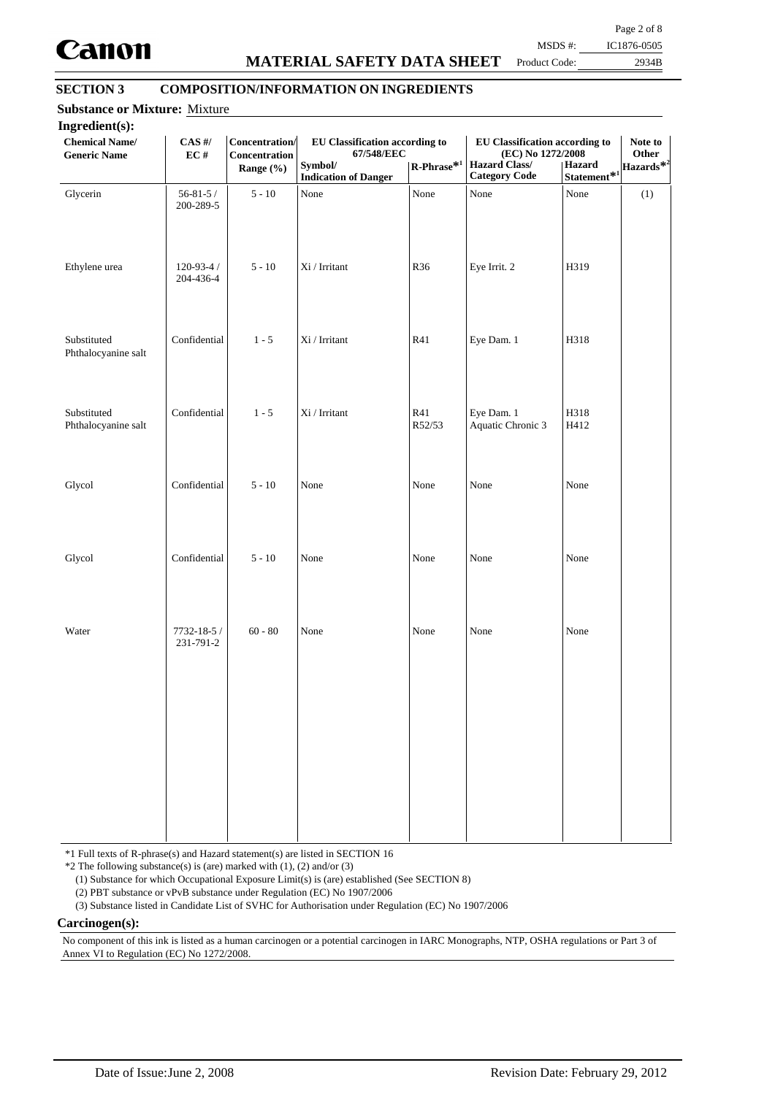

# **MATERIAL SAFETY DATA SHEET**

Page 2 of 8 MSDS #: IC1876-0505

Product Code:

# 2934B

### **SECTION 3 COMPOSITION/INFORMATION ON INGREDIENTS**

| Ingredient(s):<br><b>Chemical Name/</b><br><b>Generic Name</b> | $CAS$ #/<br>EC#              | Concentration/<br>Concentration<br>Range (%) | EU Classification according to<br>67/548/EEC<br>Symbol/<br><b>Indication of Danger</b> | $R$ -Phrase <sup>*1</sup> | EU Classification according to<br>(EC) No 1272/2008<br><b>Hazard Class/</b><br><b>Category Code</b> | Hazard<br>Statement*1 | Note to<br>Other<br>Hazards <sup>*2</sup> |
|----------------------------------------------------------------|------------------------------|----------------------------------------------|----------------------------------------------------------------------------------------|---------------------------|-----------------------------------------------------------------------------------------------------|-----------------------|-------------------------------------------|
| Glycerin                                                       | $56 - 81 - 5/$<br>200-289-5  | $5 - 10$                                     | None                                                                                   | None                      | None                                                                                                | None                  | (1)                                       |
| Ethylene urea                                                  | $120 - 93 - 4/$<br>204-436-4 | $5 - 10$                                     | Xi / Irritant                                                                          | R36                       | Eye Irrit. 2                                                                                        | H319                  |                                           |
| Substituted<br>Phthalocyanine salt                             | Confidential                 | $1 - 5$                                      | Xi / Irritant                                                                          | R41                       | Eye Dam. 1                                                                                          | H318                  |                                           |
| Substituted<br>Phthalocyanine salt                             | Confidential                 | $1 - 5$                                      | Xi / Irritant                                                                          | R41<br>R52/53             | Eye Dam. 1<br>Aquatic Chronic 3                                                                     | H318<br>H412          |                                           |
| Glycol                                                         | Confidential                 | $5 - 10$                                     | None                                                                                   | None                      | None                                                                                                | None                  |                                           |
| Glycol                                                         | Confidential                 | $5 - 10$                                     | None                                                                                   | None                      | None                                                                                                | None                  |                                           |
| Water                                                          | 7732-18-5 /<br>231-791-2     | $60 - 80$                                    | None                                                                                   | None                      | None                                                                                                | None                  |                                           |
|                                                                |                              |                                              |                                                                                        |                           |                                                                                                     |                       |                                           |
|                                                                |                              |                                              |                                                                                        |                           |                                                                                                     |                       |                                           |
|                                                                |                              |                                              |                                                                                        |                           |                                                                                                     |                       |                                           |

\*1 Full texts of R-phrase(s) and Hazard statement(s) are listed in SECTION 16

 $*2$  The following substance(s) is (are) marked with (1), (2) and/or (3)

(1) Substance for which Occupational Exposure Limit(s) is (are) established (See SECTION 8)

(2) PBT substance or vPvB substance under Regulation (EC) No 1907/2006

(3) Substance listed in Candidate List of SVHC for Authorisation under Regulation (EC) No 1907/2006

#### **Carcinogen(s):**

No component of this ink is listed as a human carcinogen or a potential carcinogen in IARC Monographs, NTP, OSHA regulations or Part 3 of Annex VI to Regulation (EC) No 1272/2008.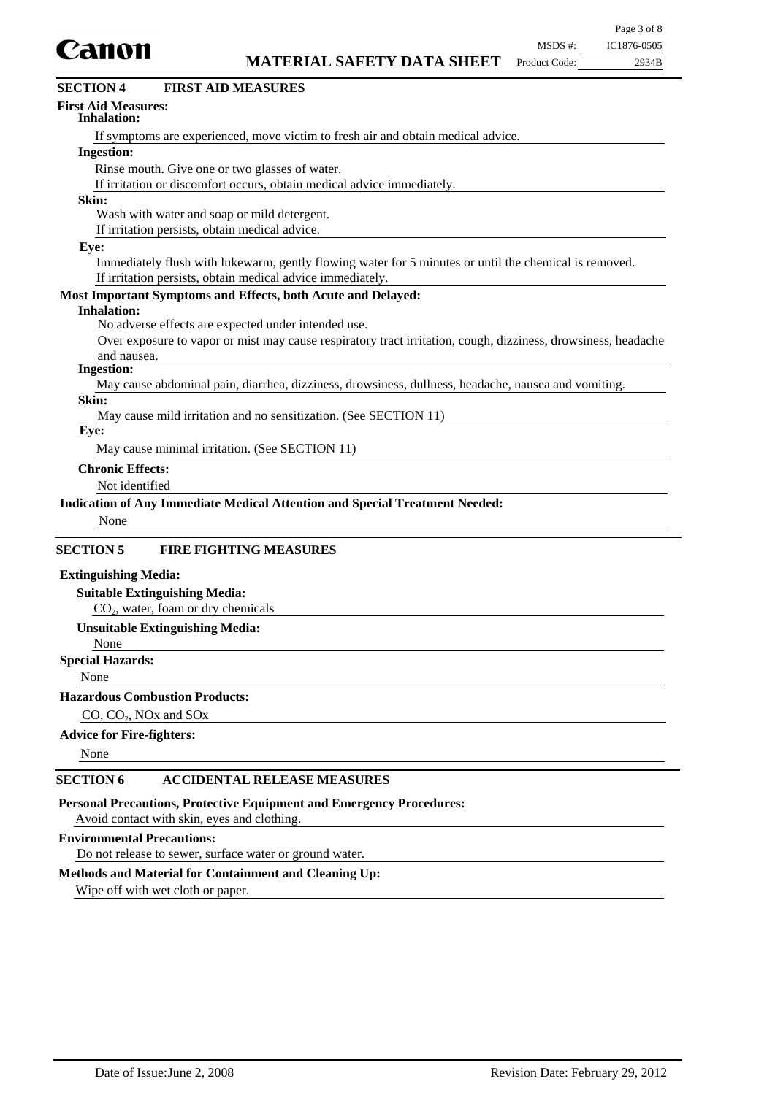

| Canon                                                                                                         | MSDS #:       | IC1876-0505 |
|---------------------------------------------------------------------------------------------------------------|---------------|-------------|
| <b>MATERIAL SAFETY DATA SHEET</b>                                                                             | Product Code: | 2934B       |
| <b>FIRST AID MEASURES</b><br><b>SECTION 4</b>                                                                 |               |             |
| <b>First Aid Measures:</b><br><b>Inhalation:</b>                                                              |               |             |
| If symptoms are experienced, move victim to fresh air and obtain medical advice.                              |               |             |
| <b>Ingestion:</b>                                                                                             |               |             |
| Rinse mouth. Give one or two glasses of water.                                                                |               |             |
| If irritation or discomfort occurs, obtain medical advice immediately.                                        |               |             |
| Skin:                                                                                                         |               |             |
| Wash with water and soap or mild detergent.                                                                   |               |             |
| If irritation persists, obtain medical advice.                                                                |               |             |
| Eye:                                                                                                          |               |             |
| Immediately flush with lukewarm, gently flowing water for 5 minutes or until the chemical is removed.         |               |             |
| If irritation persists, obtain medical advice immediately.                                                    |               |             |
| Most Important Symptoms and Effects, both Acute and Delayed:                                                  |               |             |
| <b>Inhalation:</b>                                                                                            |               |             |
| No adverse effects are expected under intended use.                                                           |               |             |
| Over exposure to vapor or mist may cause respiratory tract irritation, cough, dizziness, drowsiness, headache |               |             |
| and nausea.                                                                                                   |               |             |
| <b>Ingestion:</b>                                                                                             |               |             |
| May cause abdominal pain, diarrhea, dizziness, drowsiness, dullness, headache, nausea and vomiting.           |               |             |
| Skin:                                                                                                         |               |             |
| May cause mild irritation and no sensitization. (See SECTION 11)                                              |               |             |
| Eye:                                                                                                          |               |             |
| May cause minimal irritation. (See SECTION 11)                                                                |               |             |
| <b>Chronic Effects:</b>                                                                                       |               |             |
| Not identified                                                                                                |               |             |
| Indication of Any Immediate Medical Attention and Special Treatment Needed:                                   |               |             |
| None                                                                                                          |               |             |
| <b>SECTION 5</b><br><b>FIRE FIGHTING MEASURES</b>                                                             |               |             |
|                                                                                                               |               |             |
| <b>Extinguishing Media:</b>                                                                                   |               |             |
| <b>Suitable Extinguishing Media:</b>                                                                          |               |             |
| $CO2$ , water, foam or dry chemicals                                                                          |               |             |
| <b>Unsuitable Extinguishing Media:</b>                                                                        |               |             |
| None                                                                                                          |               |             |
| <b>Special Hazards:</b>                                                                                       |               |             |

None

#### **Hazardous Combustion Products:**

CO,  $CO<sub>2</sub>$ , NOx and SOx

#### **Advice for Fire-fighters:**

None

#### **SECTION 6 ACCIDENTAL RELEASE MEASURES**

**Personal Precautions, Protective Equipment and Emergency Procedures:**

Avoid contact with skin, eyes and clothing.

#### **Environmental Precautions:**

Do not release to sewer, surface water or ground water.

#### **Methods and Material for Containment and Cleaning Up:**

Wipe off with wet cloth or paper.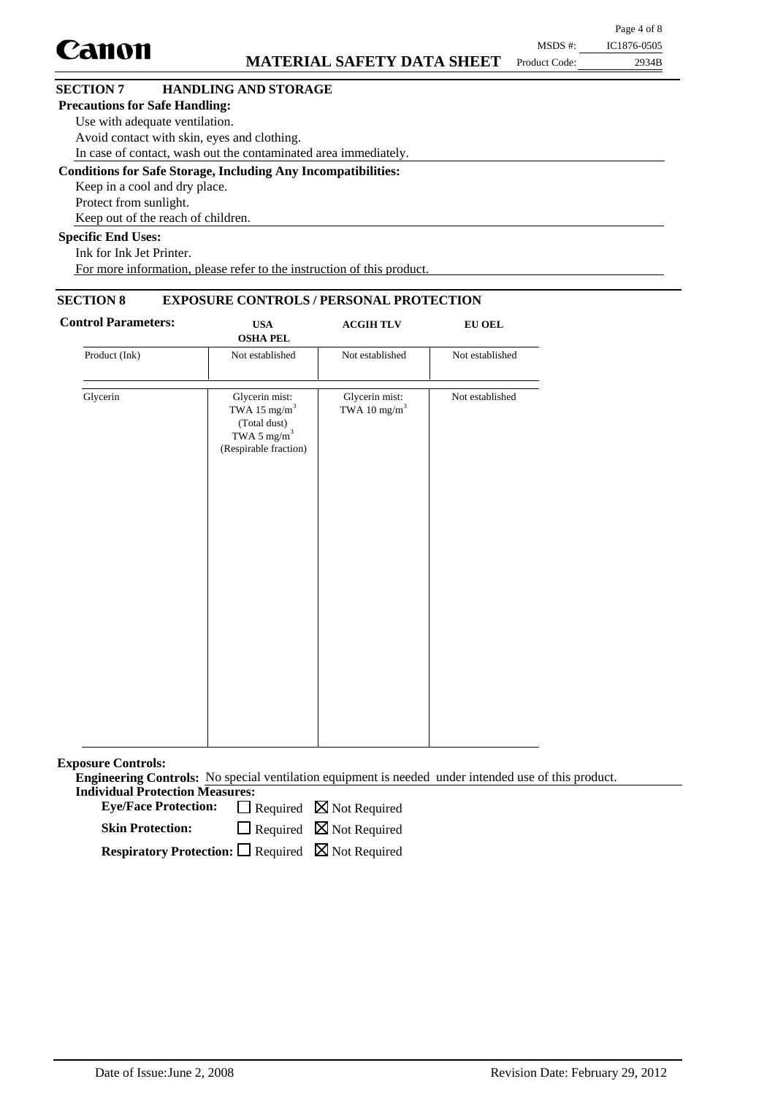|                                       |                                                                      |               | Page 4 of 8 |
|---------------------------------------|----------------------------------------------------------------------|---------------|-------------|
| Canon                                 |                                                                      | MSDS #:       | IC1876-0505 |
|                                       | <b>MATERIAL SAFETY DATA SHEET</b>                                    | Product Code: | 2934B       |
| <b>SECTION 7</b>                      | <b>HANDLING AND STORAGE</b>                                          |               |             |
| <b>Precautions for Safe Handling:</b> |                                                                      |               |             |
|                                       | Use with adequate ventilation.                                       |               |             |
|                                       | Avoid contact with skin, eyes and clothing.                          |               |             |
|                                       | In case of contact, wash out the contaminated area immediately.      |               |             |
|                                       | <b>Conditions for Safe Storage, Including Any Incompatibilities:</b> |               |             |
| Keep in a cool and dry place.         |                                                                      |               |             |
| Protect from sunlight.                |                                                                      |               |             |
|                                       | Keep out of the reach of children.                                   |               |             |
| <b>Specific End Uses:</b>             |                                                                      |               |             |
| Ink for Ink Jet Printer.              |                                                                      |               |             |

For more information, please refer to the instruction of this product.

#### **SECTION 8 EXPOSURE CONTROLS / PERSONAL PROTECTION**

| <b>Control Parameters:</b> | <b>USA</b><br><b>OSHA PEL</b>                                                                                  | <b>ACGIHTLV</b>                            | ${\bf EU}$ OEL  |
|----------------------------|----------------------------------------------------------------------------------------------------------------|--------------------------------------------|-----------------|
| Product (Ink)              | Not established                                                                                                | Not established                            | Not established |
| Glycerin                   | Glycerin mist:<br>TWA 15 mg/m <sup>3</sup><br>(Total dust)<br>TWA 5 $\mathrm{mg/m}^3$<br>(Respirable fraction) | Glycerin mist:<br>TWA 10 mg/m <sup>3</sup> | Not established |
|                            |                                                                                                                |                                            |                 |
|                            |                                                                                                                |                                            |                 |

**Exposure Controls:**

**Engineering Controls:** No special ventilation equipment is needed under intended use of this product. **Individual Protection Measures:**

Eye/Face Protection:  $\Box$  Required  $\boxtimes$  Not Required

 $\Box$  Required  $\boxtimes$  Not Required **Skin Protection:**

**Respiratory Protection:** □ Required ⊠ Not Required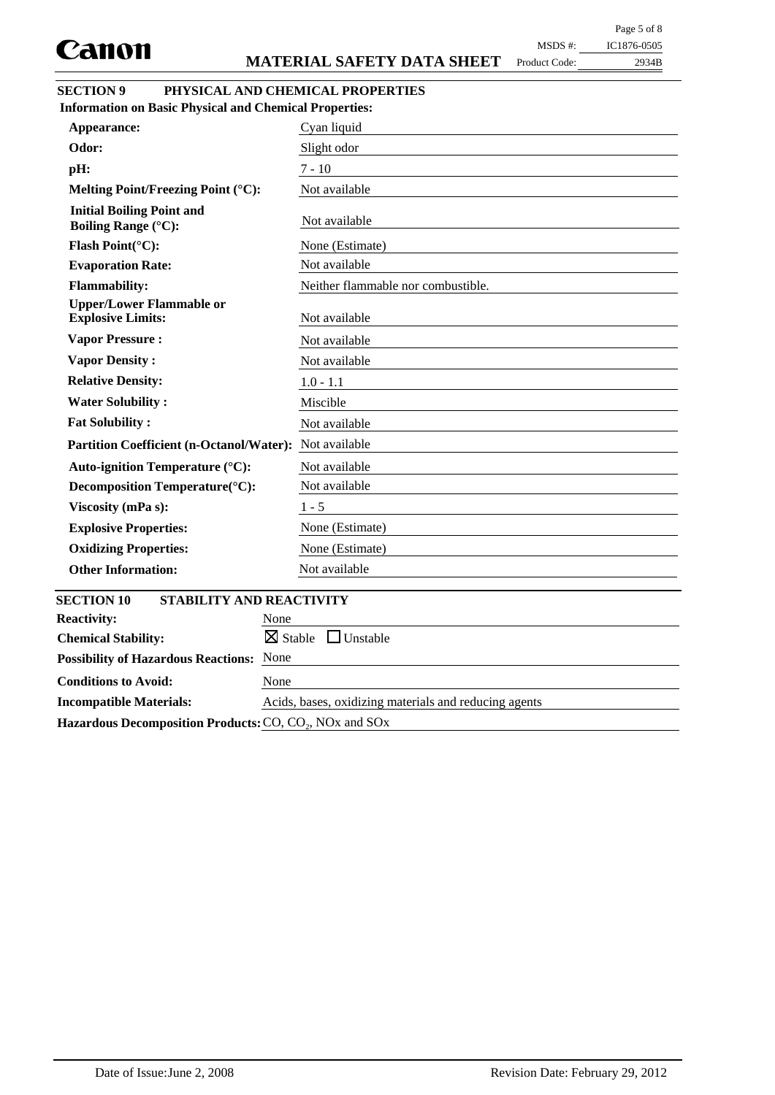Page 5 of 8

Product Code:

```
2934B
MSDS #: IC1876-0505
```
# **SECTION 9 PHYSICAL AND CHEMICAL PROPERTIES**

| <b>Information on Basic Physical and Chemical Properties:</b>  |                                    |
|----------------------------------------------------------------|------------------------------------|
| Appearance:                                                    | Cyan liquid                        |
| Odor:                                                          | Slight odor                        |
| pH:                                                            | $7 - 10$                           |
| Melting Point/Freezing Point (°C):                             | Not available                      |
| <b>Initial Boiling Point and</b><br><b>Boiling Range (°C):</b> | Not available                      |
| Flash Point(°C):                                               | None (Estimate)                    |
| <b>Evaporation Rate:</b>                                       | Not available                      |
| <b>Flammability:</b>                                           | Neither flammable nor combustible. |
| <b>Upper/Lower Flammable or</b><br><b>Explosive Limits:</b>    | Not available                      |
| <b>Vapor Pressure:</b>                                         | Not available                      |
| <b>Vapor Density:</b>                                          | Not available                      |
| <b>Relative Density:</b>                                       | $1.0 - 1.1$                        |
| <b>Water Solubility:</b>                                       | Miscible                           |
| <b>Fat Solubility:</b>                                         | Not available                      |
| Partition Coefficient (n-Octanol/Water): Not available         |                                    |
| Auto-ignition Temperature (°C):                                | Not available                      |
| Decomposition Temperature(°C):                                 | Not available                      |
| Viscosity (mPa s):                                             | $1 - 5$                            |
| <b>Explosive Properties:</b>                                   | None (Estimate)                    |
| <b>Oxidizing Properties:</b>                                   | None (Estimate)                    |
| <b>Other Information:</b>                                      | Not available                      |
| <b>SECTION 10</b><br><b>STABILITY AND REACTIVITY</b>           |                                    |
| <b>Reactivity:</b><br>None                                     |                                    |
| $\boxtimes$ Stable<br><b>Chemical Stability:</b>               | $\Box$ Unstable                    |
| <b>Possibility of Hazardous Reactions: None</b>                |                                    |
|                                                                |                                    |

Hazardous Decomposition Products: CO, CO<sub>2</sub>, NO<sub>x</sub> and SO<sub>x</sub>

**Incompatible Materials:** Acids, bases, oxidizing materials and reducing agents

**Conditions to Avoid:** None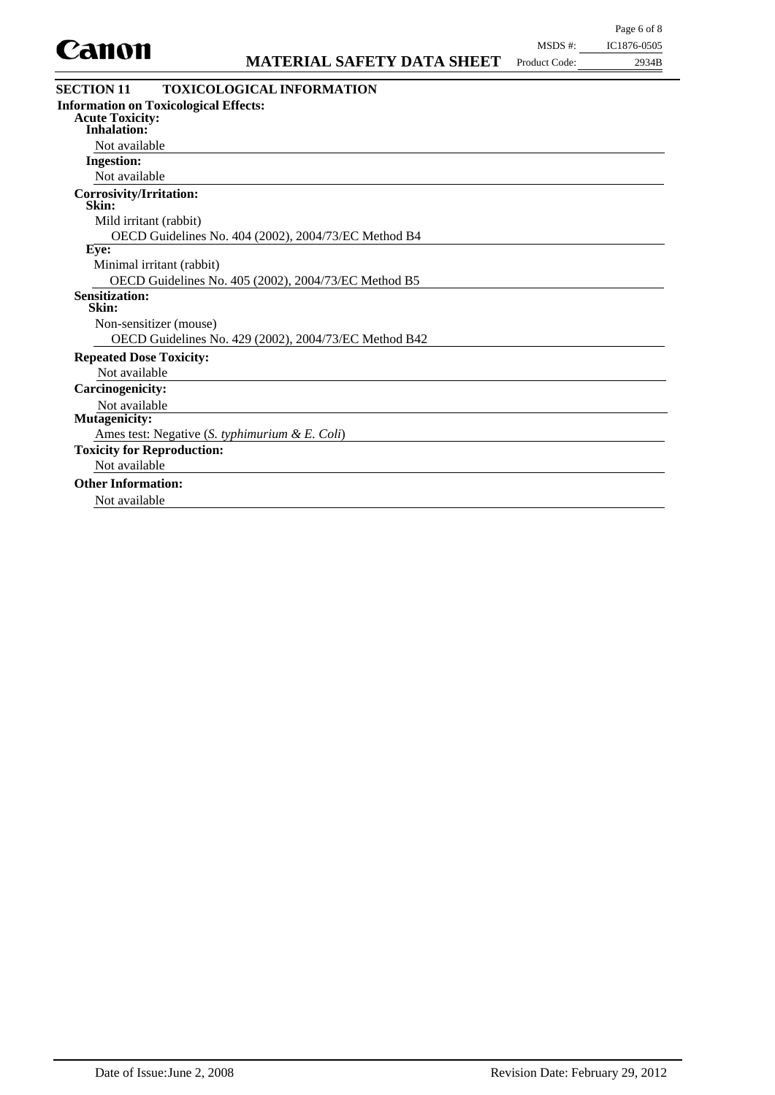

| иш ун                                          | <b>MATERIAL SAFETY DATA SHEET</b>                     | Product Code: | 2934B |
|------------------------------------------------|-------------------------------------------------------|---------------|-------|
| <b>SECTION 11</b>                              | <b>TOXICOLOGICAL INFORMATION</b>                      |               |       |
| <b>Information on Toxicological Effects:</b>   |                                                       |               |       |
| <b>Acute Toxicity:</b><br>Inhalation:          |                                                       |               |       |
|                                                |                                                       |               |       |
| Not available                                  |                                                       |               |       |
| <b>Ingestion:</b>                              |                                                       |               |       |
| Not available                                  |                                                       |               |       |
| <b>Corrosivity/Irritation:</b>                 |                                                       |               |       |
| Skin:                                          |                                                       |               |       |
| Mild irritant (rabbit)                         |                                                       |               |       |
|                                                | OECD Guidelines No. 404 (2002), 2004/73/EC Method B4  |               |       |
| Eye:                                           |                                                       |               |       |
| Minimal irritant (rabbit)                      |                                                       |               |       |
|                                                | OECD Guidelines No. 405 (2002), 2004/73/EC Method B5  |               |       |
| <b>Sensitization:</b>                          |                                                       |               |       |
| Skin:                                          |                                                       |               |       |
| Non-sensitizer (mouse)                         |                                                       |               |       |
|                                                | OECD Guidelines No. 429 (2002), 2004/73/EC Method B42 |               |       |
| <b>Repeated Dose Toxicity:</b>                 |                                                       |               |       |
| Not available                                  |                                                       |               |       |
| <b>Carcinogenicity:</b>                        |                                                       |               |       |
| Not available                                  |                                                       |               |       |
| Mutagenicity:                                  |                                                       |               |       |
| Ames test: Negative (S. typhimurium & E. Coli) |                                                       |               |       |
| <b>Toxicity for Reproduction:</b>              |                                                       |               |       |
| Not available                                  |                                                       |               |       |
| <b>Other Information:</b>                      |                                                       |               |       |
| Not available                                  |                                                       |               |       |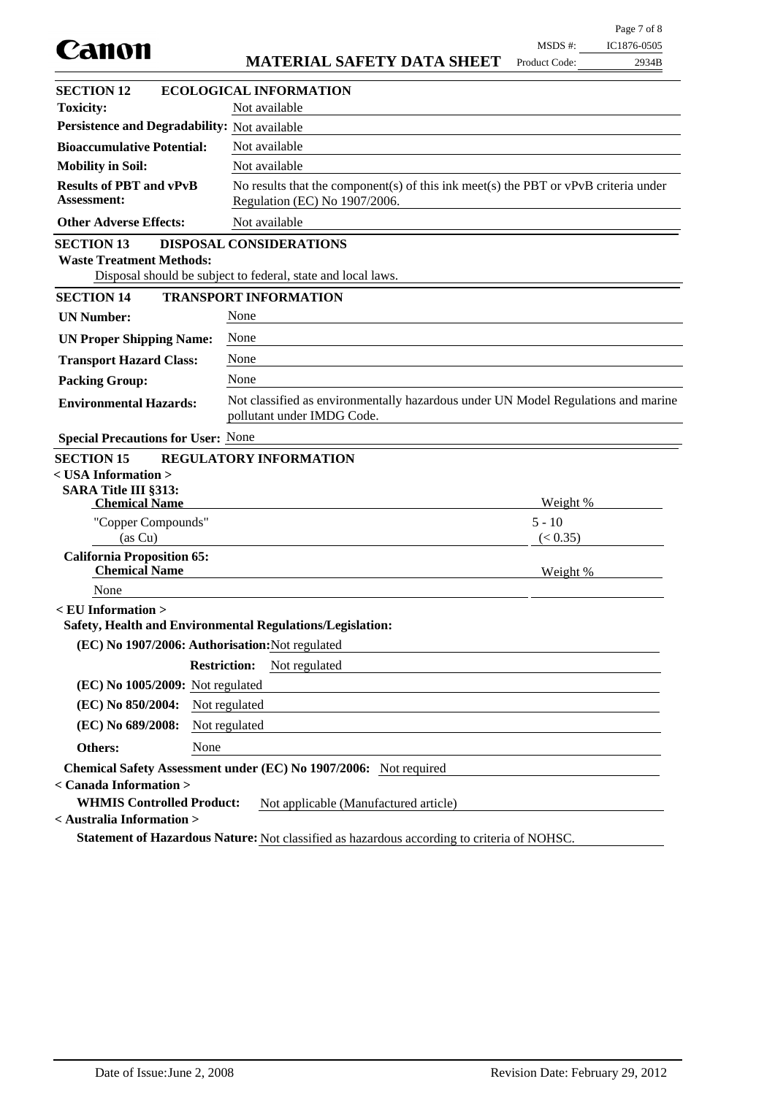| Canon                                                                                                                     |                                                                                                                        | MSDS #:              | IC1876-0505 |
|---------------------------------------------------------------------------------------------------------------------------|------------------------------------------------------------------------------------------------------------------------|----------------------|-------------|
|                                                                                                                           | <b>MATERIAL SAFETY DATA SHEET</b>                                                                                      | Product Code:        | 2934B       |
| <b>SECTION 12</b>                                                                                                         | <b>ECOLOGICAL INFORMATION</b>                                                                                          |                      |             |
| <b>Toxicity:</b>                                                                                                          | Not available                                                                                                          |                      |             |
| Persistence and Degradability: Not available                                                                              |                                                                                                                        |                      |             |
| <b>Bioaccumulative Potential:</b>                                                                                         | Not available                                                                                                          |                      |             |
| <b>Mobility in Soil:</b>                                                                                                  | Not available                                                                                                          |                      |             |
| <b>Results of PBT and vPvB</b><br><b>Assessment:</b>                                                                      | No results that the component(s) of this ink meet(s) the PBT or $vPvB$ criteria under<br>Regulation (EC) No 1907/2006. |                      |             |
| <b>Other Adverse Effects:</b>                                                                                             | Not available                                                                                                          |                      |             |
| <b>SECTION 13</b><br><b>Waste Treatment Methods:</b>                                                                      | <b>DISPOSAL CONSIDERATIONS</b><br>Disposal should be subject to federal, state and local laws.                         |                      |             |
| <b>SECTION 14</b>                                                                                                         | <b>TRANSPORT INFORMATION</b>                                                                                           |                      |             |
| <b>UN Number:</b>                                                                                                         | None                                                                                                                   |                      |             |
| <b>UN Proper Shipping Name:</b>                                                                                           | None                                                                                                                   |                      |             |
| <b>Transport Hazard Class:</b>                                                                                            | None                                                                                                                   |                      |             |
| <b>Packing Group:</b>                                                                                                     | None                                                                                                                   |                      |             |
| <b>Environmental Hazards:</b>                                                                                             | Not classified as environmentally hazardous under UN Model Regulations and marine<br>pollutant under IMDG Code.        |                      |             |
| <b>Special Precautions for User: None</b>                                                                                 |                                                                                                                        |                      |             |
| <b>SECTION 15</b><br>$<$ USA Information $>$<br><b>SARA Title III §313:</b><br><b>Chemical Name</b><br>"Copper Compounds" | <b>REGULATORY INFORMATION</b>                                                                                          | Weight %<br>$5 - 10$ |             |
| (as Cu)                                                                                                                   |                                                                                                                        | (< 0.35)             |             |
| <b>California Proposition 65:</b><br><b>Chemical Name</b><br>None                                                         |                                                                                                                        | Weight %             |             |
| <eu information=""></eu>                                                                                                  | Safety, Health and Environmental Regulations/Legislation:                                                              |                      |             |
| (EC) No 1907/2006: Authorisation: Not regulated                                                                           |                                                                                                                        |                      |             |
|                                                                                                                           | <b>Restriction:</b><br>Not regulated                                                                                   |                      |             |
| (EC) No 1005/2009: Not regulated                                                                                          |                                                                                                                        |                      |             |
| (EC) No 850/2004:                                                                                                         | Not regulated                                                                                                          |                      |             |
| (EC) No 689/2008:                                                                                                         | Not regulated                                                                                                          |                      |             |
| None<br>Others:                                                                                                           |                                                                                                                        |                      |             |
|                                                                                                                           | Chemical Safety Assessment under (EC) No 1907/2006: Not required                                                       |                      |             |
| < Canada Information ><br><b>WHMIS Controlled Product:</b>                                                                | Not applicable (Manufactured article)                                                                                  |                      |             |
| < Australia Information >                                                                                                 | Statement of Hazardous Nature: Not classified as hazardous according to criteria of NOHSC.                             |                      |             |

Page 7 of 8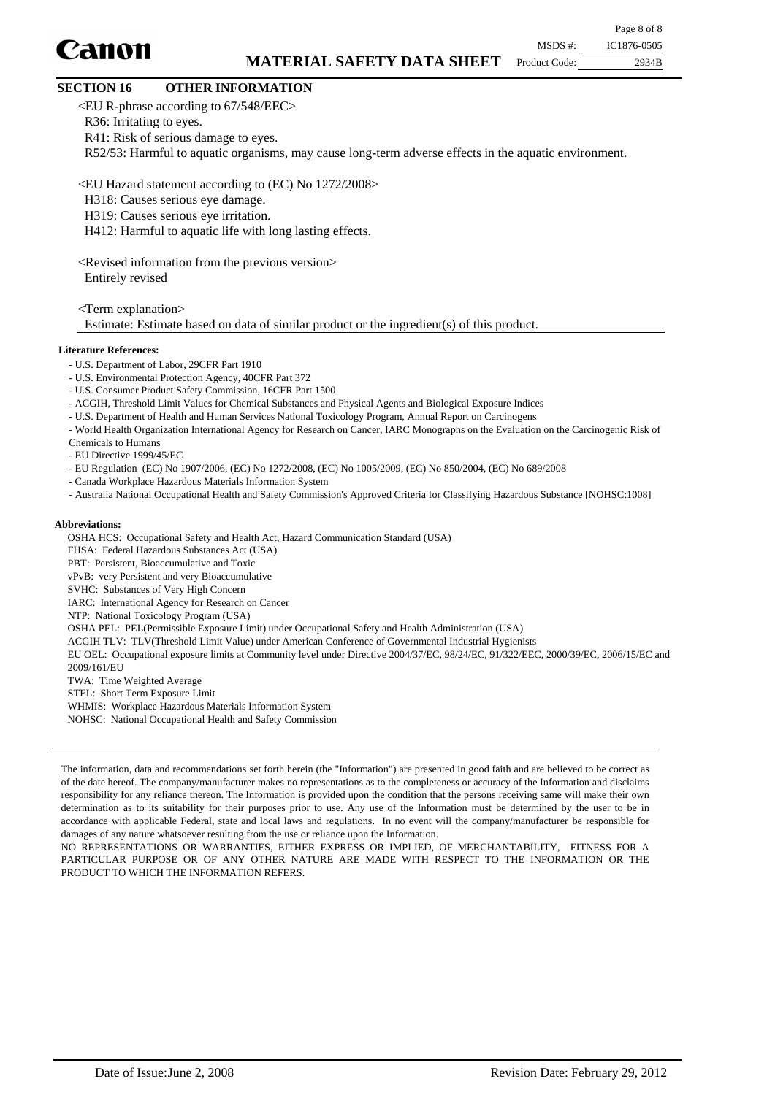# Canon

Page 8 of 8 MSDS #: IC1876-0505

Product Code:

2934B

#### **SECTION 16 OTHER INFORMATION**

<EU R-phrase according to 67/548/EEC>

R36: Irritating to eyes.

R41: Risk of serious damage to eyes.

R52/53: Harmful to aquatic organisms, may cause long-term adverse effects in the aquatic environment.

<EU Hazard statement according to (EC) No 1272/2008>

H318: Causes serious eye damage.

H319: Causes serious eye irritation.

H412: Harmful to aquatic life with long lasting effects.

<Revised information from the previous version> Entirely revised

<Term explanation>

Estimate: Estimate based on data of similar product or the ingredient(s) of this product.

#### **Literature References:**

- U.S. Department of Labor, 29CFR Part 1910
- U.S. Environmental Protection Agency, 40CFR Part 372
- U.S. Consumer Product Safety Commission, 16CFR Part 1500
- ACGIH, Threshold Limit Values for Chemical Substances and Physical Agents and Biological Exposure Indices
- U.S. Department of Health and Human Services National Toxicology Program, Annual Report on Carcinogens
- World Health Organization International Agency for Research on Cancer, IARC Monographs on the Evaluation on the Carcinogenic Risk of Chemicals to Humans
- EU Directive 1999/45/EC
- EU Regulation (EC) No 1907/2006, (EC) No 1272/2008, (EC) No 1005/2009, (EC) No 850/2004, (EC) No 689/2008
- Canada Workplace Hazardous Materials Information System
- Australia National Occupational Health and Safety Commission's Approved Criteria for Classifying Hazardous Substance [NOHSC:1008]

#### **Abbreviations:**

OSHA HCS: Occupational Safety and Health Act, Hazard Communication Standard (USA)

- FHSA: Federal Hazardous Substances Act (USA)
- PBT: Persistent, Bioaccumulative and Toxic

vPvB: very Persistent and very Bioaccumulative

SVHC: Substances of Very High Concern

IARC: International Agency for Research on Cancer

NTP: National Toxicology Program (USA)

OSHA PEL: PEL(Permissible Exposure Limit) under Occupational Safety and Health Administration (USA)

ACGIH TLV: TLV(Threshold Limit Value) under American Conference of Governmental Industrial Hygienists

EU OEL: Occupational exposure limits at Community level under Directive 2004/37/EC, 98/24/EC, 91/322/EEC, 2000/39/EC, 2006/15/EC and 2009/161/EU

TWA: Time Weighted Average

STEL: Short Term Exposure Limit

WHMIS: Workplace Hazardous Materials Information System

NOHSC: National Occupational Health and Safety Commission

NO REPRESENTATIONS OR WARRANTIES, EITHER EXPRESS OR IMPLIED, OF MERCHANTABILITY, FITNESS FOR A PARTICULAR PURPOSE OR OF ANY OTHER NATURE ARE MADE WITH RESPECT TO THE INFORMATION OR THE PRODUCT TO WHICH THE INFORMATION REFERS.

The information, data and recommendations set forth herein (the "Information") are presented in good faith and are believed to be correct as of the date hereof. The company/manufacturer makes no representations as to the completeness or accuracy of the Information and disclaims responsibility for any reliance thereon. The Information is provided upon the condition that the persons receiving same will make their own determination as to its suitability for their purposes prior to use. Any use of the Information must be determined by the user to be in accordance with applicable Federal, state and local laws and regulations. In no event will the company/manufacturer be responsible for damages of any nature whatsoever resulting from the use or reliance upon the Information.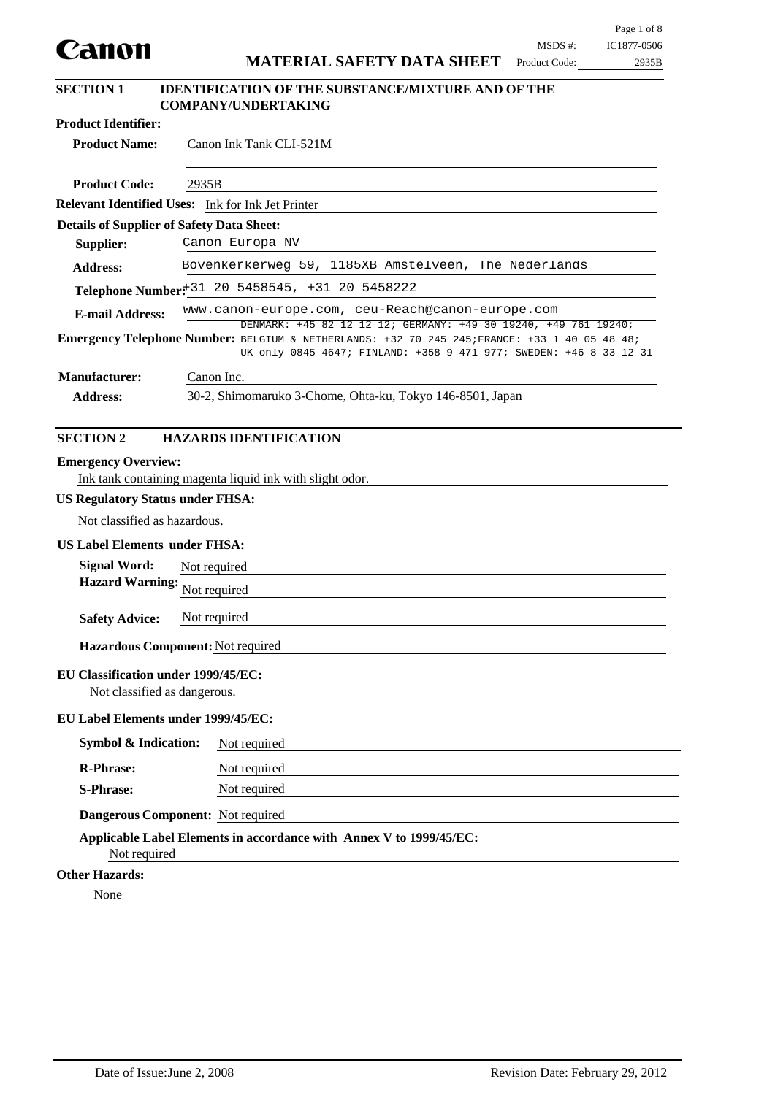|                                                  |                                                                                                                                                                                                                                        | MSDS #:       | Page 1 o<br>IC1877-05 |
|--------------------------------------------------|----------------------------------------------------------------------------------------------------------------------------------------------------------------------------------------------------------------------------------------|---------------|-----------------------|
| Canon                                            | <b>MATERIAL SAFETY DATA SHEET</b>                                                                                                                                                                                                      | Product Code: | 293.                  |
| <b>SECTION 1</b>                                 | <b>IDENTIFICATION OF THE SUBSTANCE/MIXTURE AND OF THE</b><br><b>COMPANY/UNDERTAKING</b>                                                                                                                                                |               |                       |
| <b>Product Identifier:</b>                       |                                                                                                                                                                                                                                        |               |                       |
| <b>Product Name:</b>                             | Canon Ink Tank CLI-521M                                                                                                                                                                                                                |               |                       |
| <b>Product Code:</b>                             | 2935B                                                                                                                                                                                                                                  |               |                       |
|                                                  | Relevant Identified Uses: Ink for Ink Jet Printer                                                                                                                                                                                      |               |                       |
| <b>Details of Supplier of Safety Data Sheet:</b> |                                                                                                                                                                                                                                        |               |                       |
| Supplier:                                        | Canon Europa NV                                                                                                                                                                                                                        |               |                       |
| <b>Address:</b>                                  | Bovenkerkerweg 59, 1185XB Amstelveen, The Nederlands                                                                                                                                                                                   |               |                       |
|                                                  | Telephone Number: 31 20 5458545, +31 20 5458222                                                                                                                                                                                        |               |                       |
| <b>E-mail Address:</b>                           | www.canon-europe.com, ceu-Reach@canon-europe.com                                                                                                                                                                                       |               |                       |
|                                                  | DENMARK: +45 82 12 12 12; GERMANY: +49 30 19240, +49 761 19240;<br>Emergency Telephone Number: BELGIUM & NETHERLANDS: +32 70 245 245; FRANCE: +33 1 40 05 48 48;<br>UK only 0845 4647; FINLAND: +358 9 471 977; SWEDEN: +46 8 33 12 31 |               |                       |
| <b>Manufacturer:</b>                             | Canon Inc.                                                                                                                                                                                                                             |               |                       |
| <b>Address:</b>                                  | 30-2, Shimomaruko 3-Chome, Ohta-ku, Tokyo 146-8501, Japan                                                                                                                                                                              |               |                       |
| <b>SECTION 2</b>                                 | <b>HAZARDS IDENTIFICATION</b>                                                                                                                                                                                                          |               |                       |
| <b>Emergency Overview:</b>                       | Ink tank containing magenta liquid ink with slight odor.                                                                                                                                                                               |               |                       |
| <b>US Regulatory Status under FHSA:</b>          |                                                                                                                                                                                                                                        |               |                       |
| Not classified as hazardous.                     |                                                                                                                                                                                                                                        |               |                       |
| <b>US Label Elements under FHSA:</b>             |                                                                                                                                                                                                                                        |               |                       |
| <b>Signal Word:</b>                              | Not required                                                                                                                                                                                                                           |               |                       |
| <b>Hazard Warning:</b>                           | Not required                                                                                                                                                                                                                           |               |                       |

**Safety Advice:** Not required

**Hazardous Component:** Not required

#### **EU Classification under 1999/45/EC:**

Not classified as dangerous.

#### **EU Label Elements under 1999/45/EC:**

| <b>Symbol &amp; Indication:</b>   | Not required |
|-----------------------------------|--------------|
| <b>R-Phrase:</b>                  | Not required |
| <b>S-Phrase:</b>                  | Not required |
| Dangerous Component: Not required |              |
|                                   |              |

#### **Applicable Label Elements in accordance with Annex V to 1999/45/EC:**

Not required

#### **Other Hazards:**

None

Page 1 of 8

MSDS #: IC1877-0506

2935B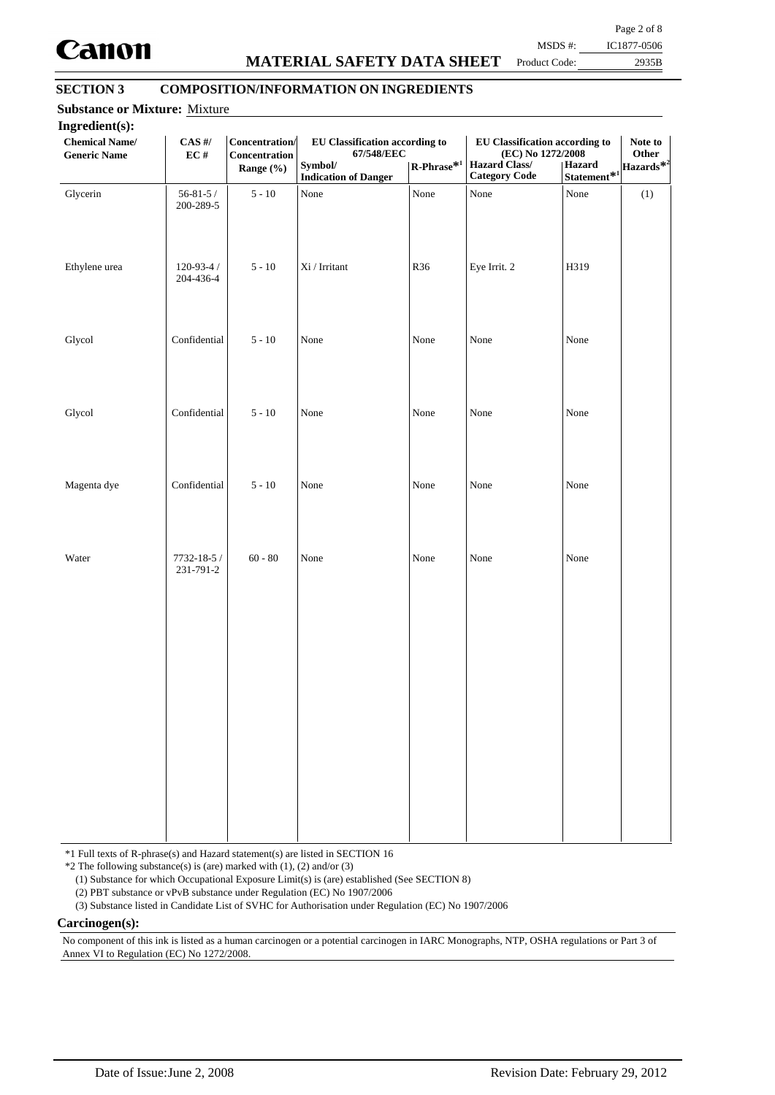

# **MATERIAL SAFETY DATA SHEET**

Page 2 of 8 MSDS #: IC1877-0506

Product Code:

2935B

### **SECTION 3 COMPOSITION/INFORMATION ON INGREDIENTS**

| <b>Chemical Name/</b><br><b>Generic Name</b> | $\mathbf{CAS}$ #/<br>EC#     | Concentration/<br>Concentration<br>Range (%) | EU Classification according to<br>67/548/EEC<br>Symbol/<br><b>Indication of Danger</b> | $\mathbf{R}\text{-Phrase}^{*1}$ | EU Classification according to<br>(EC) No 1272/2008<br><b>Hazard Class/</b><br><b>Category Code</b> | Hazard<br>Statement $\mathbf{\hat{*}}^{1}$ | Note to<br>Other<br>Hazards* <sup>2</sup> |
|----------------------------------------------|------------------------------|----------------------------------------------|----------------------------------------------------------------------------------------|---------------------------------|-----------------------------------------------------------------------------------------------------|--------------------------------------------|-------------------------------------------|
| Glycerin                                     | $56 - 81 - 5/$<br>200-289-5  | $5 - 10$                                     | None                                                                                   | None                            | None                                                                                                | None                                       | (1)                                       |
| Ethylene urea                                | $120 - 93 - 4/$<br>204-436-4 | $5 - 10$                                     | Xi / Irritant                                                                          | R36                             | Eye Irrit. 2                                                                                        | H319                                       |                                           |
| Glycol                                       | Confidential                 | $5 - 10$                                     | None                                                                                   | None                            | None                                                                                                | None                                       |                                           |
| Glycol                                       | Confidential                 | $5 - 10$                                     | None                                                                                   | None                            | None                                                                                                | None                                       |                                           |
| Magenta dye                                  | Confidential                 | $5 - 10$                                     | None                                                                                   | None                            | None                                                                                                | None                                       |                                           |
| Water                                        | 7732-18-5 /<br>231-791-2     | $60 - 80$                                    | None                                                                                   | None                            | None                                                                                                | None                                       |                                           |
|                                              |                              |                                              |                                                                                        |                                 |                                                                                                     |                                            |                                           |
|                                              |                              |                                              |                                                                                        |                                 |                                                                                                     |                                            |                                           |
|                                              |                              |                                              |                                                                                        |                                 |                                                                                                     |                                            |                                           |
|                                              |                              |                                              |                                                                                        |                                 |                                                                                                     |                                            |                                           |

\*1 Full texts of R-phrase(s) and Hazard statement(s) are listed in SECTION 16

 $*2$  The following substance(s) is (are) marked with (1), (2) and/or (3)

(1) Substance for which Occupational Exposure Limit(s) is (are) established (See SECTION 8)

(2) PBT substance or vPvB substance under Regulation (EC) No 1907/2006

(3) Substance listed in Candidate List of SVHC for Authorisation under Regulation (EC) No 1907/2006

**Carcinogen(s):**

No component of this ink is listed as a human carcinogen or a potential carcinogen in IARC Monographs, NTP, OSHA regulations or Part 3 of Annex VI to Regulation (EC) No 1272/2008.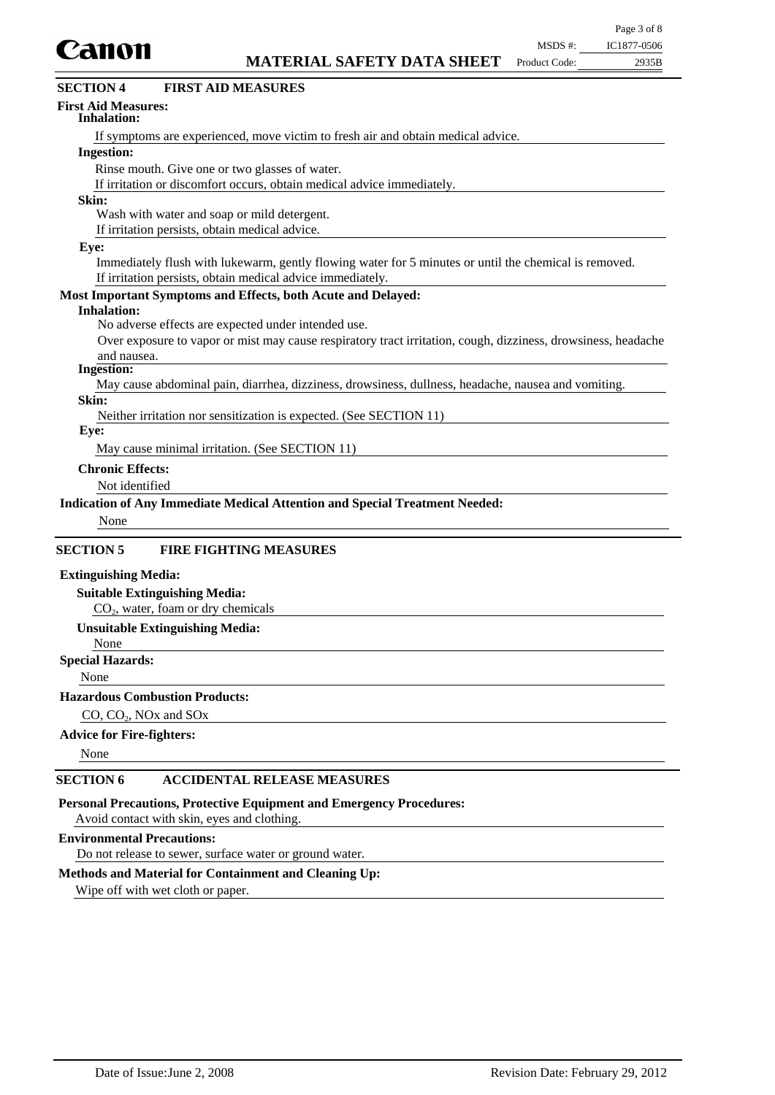

| Canon                                                                                                                                                                | MSDS #:       | IC1877-0506 |
|----------------------------------------------------------------------------------------------------------------------------------------------------------------------|---------------|-------------|
| <b>MATERIAL SAFETY DATA SHEET</b>                                                                                                                                    | Product Code: | 2935B       |
| <b>FIRST AID MEASURES</b><br><b>SECTION 4</b>                                                                                                                        |               |             |
| <b>First Aid Measures:</b><br>Inhalation:                                                                                                                            |               |             |
| If symptoms are experienced, move victim to fresh air and obtain medical advice.                                                                                     |               |             |
| <b>Ingestion:</b>                                                                                                                                                    |               |             |
| Rinse mouth. Give one or two glasses of water.                                                                                                                       |               |             |
| If irritation or discomfort occurs, obtain medical advice immediately.                                                                                               |               |             |
| Skin:                                                                                                                                                                |               |             |
| Wash with water and soap or mild detergent.                                                                                                                          |               |             |
| If irritation persists, obtain medical advice.                                                                                                                       |               |             |
| Eye:                                                                                                                                                                 |               |             |
| Immediately flush with lukewarm, gently flowing water for 5 minutes or until the chemical is removed.                                                                |               |             |
| If irritation persists, obtain medical advice immediately.                                                                                                           |               |             |
| Most Important Symptoms and Effects, both Acute and Delayed:                                                                                                         |               |             |
| <b>Inhalation:</b>                                                                                                                                                   |               |             |
| No adverse effects are expected under intended use.<br>Over exposure to vapor or mist may cause respiratory tract irritation, cough, dizziness, drowsiness, headache |               |             |
| and nausea.                                                                                                                                                          |               |             |
| <b>Ingestion:</b>                                                                                                                                                    |               |             |
| May cause abdominal pain, diarrhea, dizziness, drowsiness, dullness, headache, nausea and vomiting.                                                                  |               |             |
| Skin:                                                                                                                                                                |               |             |
| Neither irritation nor sensitization is expected. (See SECTION 11)                                                                                                   |               |             |
| Eye:                                                                                                                                                                 |               |             |
| May cause minimal irritation. (See SECTION 11)                                                                                                                       |               |             |
| <b>Chronic Effects:</b>                                                                                                                                              |               |             |
| Not identified                                                                                                                                                       |               |             |
| Indication of Any Immediate Medical Attention and Special Treatment Needed:                                                                                          |               |             |
| None                                                                                                                                                                 |               |             |
|                                                                                                                                                                      |               |             |
| <b>SECTION 5</b><br><b>FIRE FIGHTING MEASURES</b>                                                                                                                    |               |             |
| <b>Extinguishing Media:</b>                                                                                                                                          |               |             |
| <b>Suitable Extinguishing Media:</b>                                                                                                                                 |               |             |
| $CO2$ , water, foam or dry chemicals                                                                                                                                 |               |             |
| <b>Unsuitable Extinguishing Media:</b>                                                                                                                               |               |             |
| None                                                                                                                                                                 |               |             |
| <b>Special Hazards:</b>                                                                                                                                              |               |             |

# None

#### **Hazardous Combustion Products:**

CO,  $CO<sub>2</sub>$ , NOx and SOx

#### **Advice for Fire-fighters:**

None

#### **SECTION 6 ACCIDENTAL RELEASE MEASURES**

**Personal Precautions, Protective Equipment and Emergency Procedures:**

# Avoid contact with skin, eyes and clothing.

#### **Environmental Precautions:**

Do not release to sewer, surface water or ground water.

#### **Methods and Material for Containment and Cleaning Up:**

Wipe off with wet cloth or paper.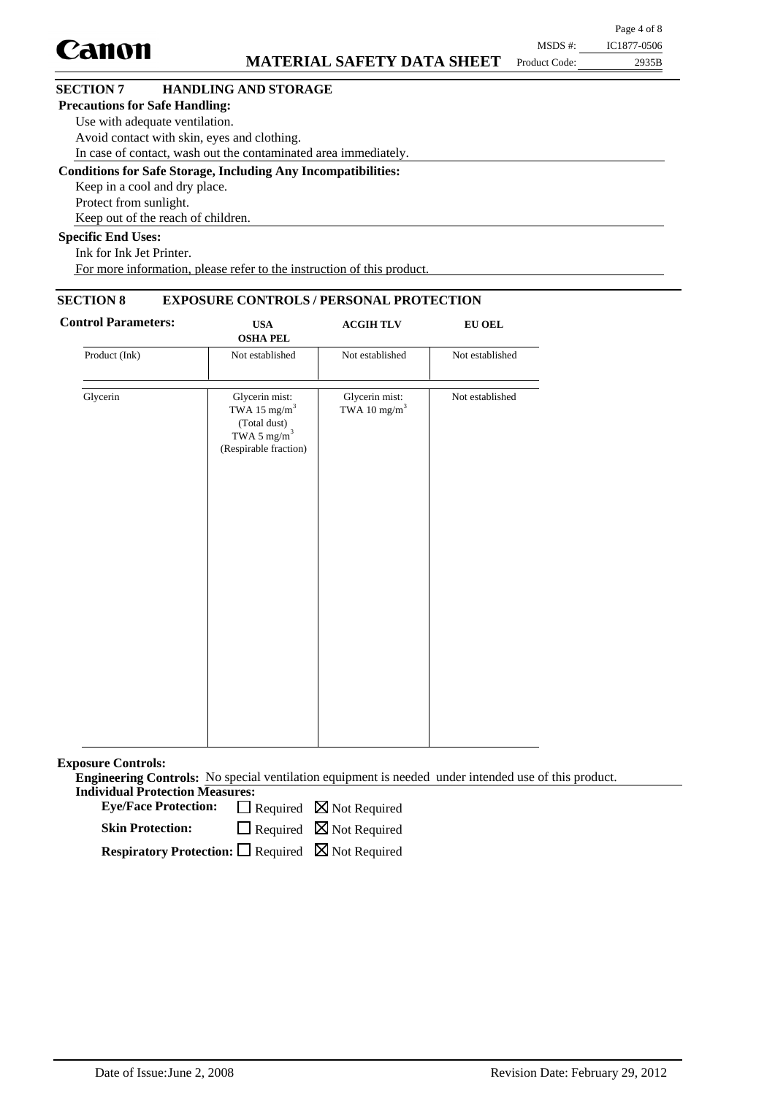|                                       |                                                                      |               | $1 u \in C$ T $U1$ |
|---------------------------------------|----------------------------------------------------------------------|---------------|--------------------|
| <b>Canon</b>                          |                                                                      | MSDS #:       | IC1877-0506        |
|                                       | <b>MATERIAL SAFETY DATA SHEET</b>                                    | Product Code: | 2935B              |
| <b>SECTION 7</b>                      | <b>HANDLING AND STORAGE</b>                                          |               |                    |
| <b>Precautions for Safe Handling:</b> |                                                                      |               |                    |
|                                       | Use with adequate ventilation.                                       |               |                    |
|                                       | Avoid contact with skin, eyes and clothing.                          |               |                    |
|                                       | In case of contact, wash out the contaminated area immediately.      |               |                    |
|                                       | <b>Conditions for Safe Storage, Including Any Incompatibilities:</b> |               |                    |
|                                       | Keep in a cool and dry place.                                        |               |                    |
| Protect from sunlight.                |                                                                      |               |                    |
|                                       | Keep out of the reach of children.                                   |               |                    |
| <b>Specific End Uses:</b>             |                                                                      |               |                    |
| Ink for Ink Jet Printer.              |                                                                      |               |                    |

For more information, please refer to the instruction of this product.

#### **SECTION 8 EXPOSURE CONTROLS / PERSONAL PROTECTION**

| <b>Control Parameters:</b> | <b>USA</b><br><b>OSHA PEL</b>                                                                        | <b>ACGIHTLV</b>                            | ${\bf EU}$ OEL  |  |
|----------------------------|------------------------------------------------------------------------------------------------------|--------------------------------------------|-----------------|--|
| Product (Ink)              | Not established                                                                                      | Not established                            | Not established |  |
| Glycerin                   | Glycerin mist:<br>TWA 15 $mg/m3$<br>(Total dust)<br>TWA 5 $\mathrm{mg/m}^3$<br>(Respirable fraction) | Glycerin mist:<br>TWA 10 mg/m <sup>3</sup> | Not established |  |
|                            |                                                                                                      |                                            |                 |  |

**Exposure Controls:**

**Engineering Controls:** No special ventilation equipment is needed under intended use of this product. **Individual Protection Measures:**

Eye/Face Protection:  $\Box$  Required  $\boxtimes$  Not Required

 $\Box$  Required  $\boxtimes$  Not Required **Skin Protection:**

**Respiratory Protection:** □ Required ⊠ Not Required

 $P<sub>9.99</sub> A of 8$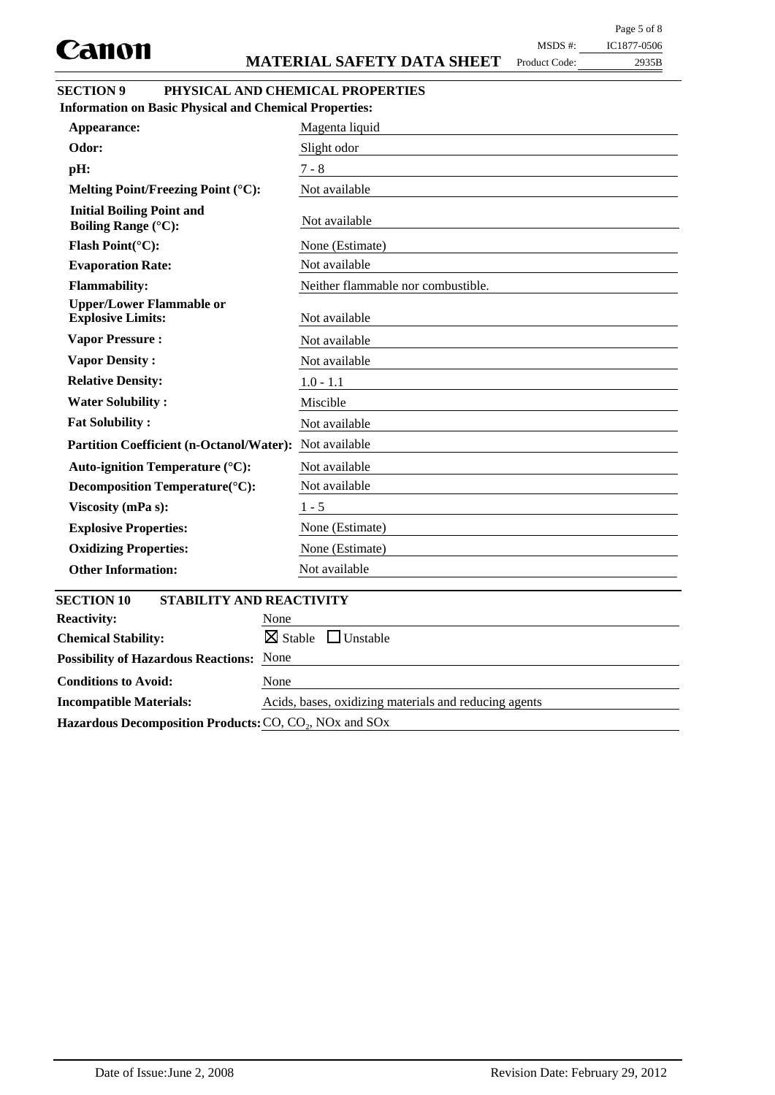Page 5 of 8

2935B

| <b>SECTION 9</b> | PHYSICAL AND CHEMICAL PROPERTIES |
|------------------|----------------------------------|
|                  |                                  |

| <b>Information on Basic Physical and Chemical Properties:</b>  |                                    |  |  |
|----------------------------------------------------------------|------------------------------------|--|--|
| Appearance:                                                    | Magenta liquid                     |  |  |
| Odor:                                                          | Slight odor                        |  |  |
| pH:                                                            | $7 - 8$                            |  |  |
| Melting Point/Freezing Point (°C):                             | Not available                      |  |  |
| <b>Initial Boiling Point and</b><br><b>Boiling Range (°C):</b> | Not available                      |  |  |
| Flash Point(°C):                                               | None (Estimate)                    |  |  |
| <b>Evaporation Rate:</b>                                       | Not available                      |  |  |
| <b>Flammability:</b>                                           | Neither flammable nor combustible. |  |  |
| <b>Upper/Lower Flammable or</b><br><b>Explosive Limits:</b>    | Not available                      |  |  |
| <b>Vapor Pressure:</b>                                         | Not available                      |  |  |
| <b>Vapor Density:</b>                                          | Not available                      |  |  |
| <b>Relative Density:</b>                                       | $1.0 - 1.1$                        |  |  |
| <b>Water Solubility:</b>                                       | Miscible                           |  |  |
| <b>Fat Solubility:</b>                                         | Not available                      |  |  |
| <b>Partition Coefficient (n-Octanol/Water):</b>                | Not available                      |  |  |
| Auto-ignition Temperature (°C):                                | Not available                      |  |  |
| Decomposition Temperature(°C):                                 | Not available                      |  |  |
| Viscosity (mPa s):                                             | $1 - 5$                            |  |  |
| <b>Explosive Properties:</b>                                   | None (Estimate)                    |  |  |
| <b>Oxidizing Properties:</b>                                   | None (Estimate)                    |  |  |
| <b>Other Information:</b>                                      | Not available                      |  |  |
| <b>SECTION 10</b><br>STABILITY AND REACTIVITY                  |                                    |  |  |
| <b>Reactivity:</b><br>None                                     |                                    |  |  |
| $\boxtimes$ Stable<br><b>Chemical Stability:</b>               | $\Box$ Unstable                    |  |  |

| <b>Possibility of Hazardous Reactions:</b> None                                     |                                                       |
|-------------------------------------------------------------------------------------|-------------------------------------------------------|
| <b>Conditions to Avoid:</b>                                                         | None                                                  |
| <b>Incompatible Materials:</b>                                                      | Acids, bases, oxidizing materials and reducing agents |
| <b>Hazardous Decomposition Products:</b> $CO$ , $CO$ <sub>2</sub> , $NOx$ and $SOx$ |                                                       |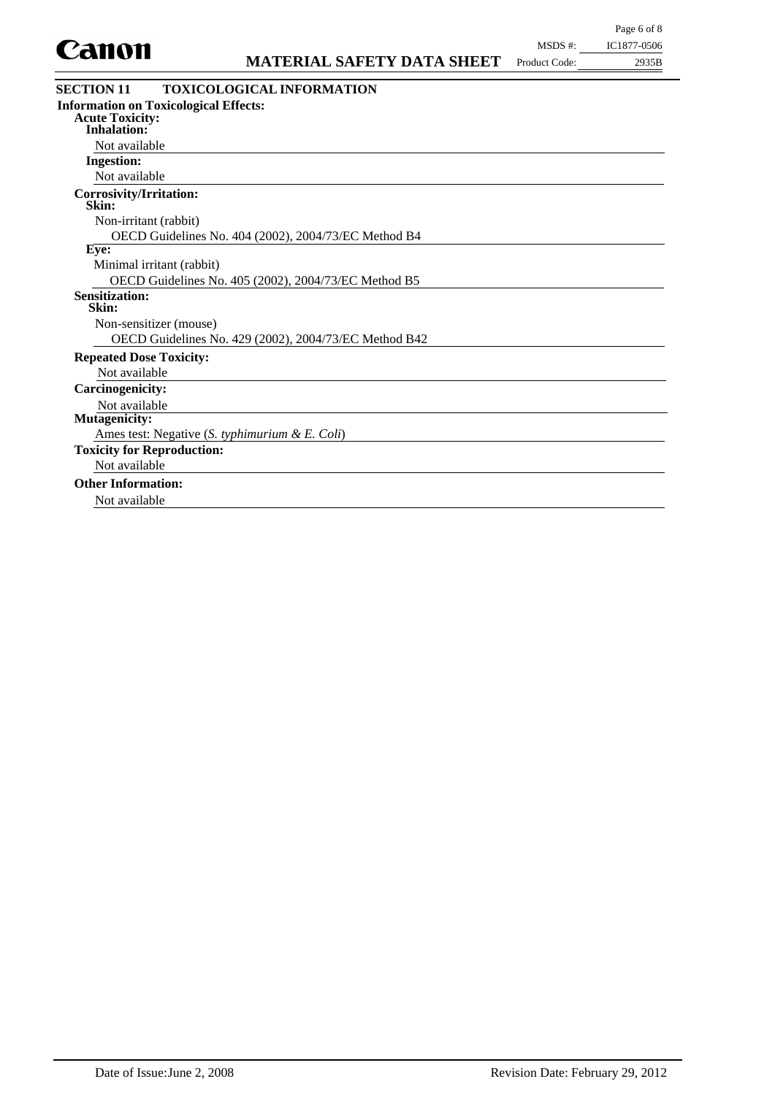

#### Not available **Corrosivity/Irritation:**

Not available **Inhalation:**

**Ingestion:**

**Acute Toxicity:**

**Skin:**

Non-irritant (rabbit)

OECD Guidelines No. 404 (2002), 2004/73/EC Method B4

**Eye:**

Minimal irritant (rabbit)

**Information on Toxicological Effects:**

OECD Guidelines No. 405 (2002), 2004/73/EC Method B5

#### **Sensitization: Skin:**

Non-sensitizer (mouse)

OECD Guidelines No. 429 (2002), 2004/73/EC Method B42

#### **Repeated Dose Toxicity:**

Not available

**Carcinogenicity:**

#### Not available

**Mutagenicity:**

Ames test: Negative (*S. typhimurium & E. Coli*)

**Toxicity for Reproduction:**

# Not available

# **Other Information:**

Not available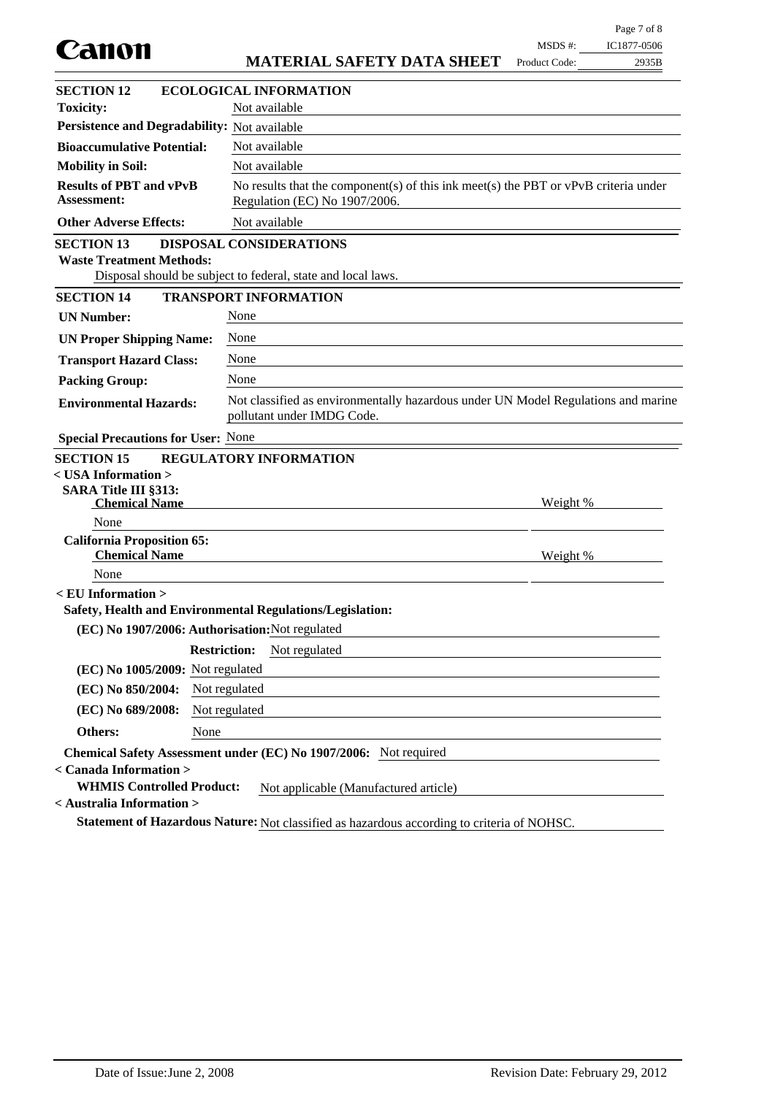| Canon                                                      |                                                                                                                        | MSDS #:         | IC1877-0506 |
|------------------------------------------------------------|------------------------------------------------------------------------------------------------------------------------|-----------------|-------------|
|                                                            | <b>MATERIAL SAFETY DATA SHEET</b>                                                                                      | Product Code:   | 2935B       |
| <b>SECTION 12</b>                                          | <b>ECOLOGICAL INFORMATION</b>                                                                                          |                 |             |
| <b>Toxicity:</b>                                           | Not available                                                                                                          |                 |             |
| Persistence and Degradability: Not available               |                                                                                                                        |                 |             |
| <b>Bioaccumulative Potential:</b>                          | Not available                                                                                                          |                 |             |
| <b>Mobility in Soil:</b>                                   | Not available                                                                                                          |                 |             |
| <b>Results of PBT and vPvB</b><br><b>Assessment:</b>       | No results that the component(s) of this ink meet(s) the PBT or $vPvB$ criteria under<br>Regulation (EC) No 1907/2006. |                 |             |
| <b>Other Adverse Effects:</b>                              | Not available                                                                                                          |                 |             |
| <b>SECTION 13</b><br><b>Waste Treatment Methods:</b>       | <b>DISPOSAL CONSIDERATIONS</b><br>Disposal should be subject to federal, state and local laws.                         |                 |             |
| <b>SECTION 14</b>                                          | <b>TRANSPORT INFORMATION</b>                                                                                           |                 |             |
| <b>UN Number:</b>                                          | None                                                                                                                   |                 |             |
| <b>UN Proper Shipping Name:</b>                            | None                                                                                                                   |                 |             |
| <b>Transport Hazard Class:</b>                             | None                                                                                                                   |                 |             |
| <b>Packing Group:</b>                                      | None                                                                                                                   |                 |             |
| <b>Environmental Hazards:</b>                              | Not classified as environmentally hazardous under UN Model Regulations and marine<br>pollutant under IMDG Code.        |                 |             |
| <b>Special Precautions for User: None</b>                  |                                                                                                                        |                 |             |
| <b>SECTION 15</b>                                          | <b>REGULATORY INFORMATION</b>                                                                                          |                 |             |
| $<$ USA Information $>$                                    |                                                                                                                        |                 |             |
| <b>SARA Title III §313:</b><br><b>Chemical Name</b>        |                                                                                                                        | Weight %        |             |
| None                                                       |                                                                                                                        |                 |             |
| <b>California Proposition 65:</b><br><b>Chemical Name</b>  |                                                                                                                        | <u>Weight %</u> |             |
| None                                                       |                                                                                                                        |                 |             |
| < EU Information >                                         | Safety, Health and Environmental Regulations/Legislation:                                                              |                 |             |
| (EC) No 1907/2006: Authorisation: Not regulated            |                                                                                                                        |                 |             |
|                                                            | <b>Restriction:</b><br>Not regulated                                                                                   |                 |             |
| (EC) No 1005/2009: Not regulated                           |                                                                                                                        |                 |             |
| (EC) No 850/2004:                                          | Not regulated                                                                                                          |                 |             |
| (EC) No 689/2008:                                          | Not regulated                                                                                                          |                 |             |
| None<br>Others:                                            |                                                                                                                        |                 |             |
|                                                            | Chemical Safety Assessment under (EC) No 1907/2006: Not required                                                       |                 |             |
| < Canada Information ><br><b>WHMIS Controlled Product:</b> | Not applicable (Manufactured article)                                                                                  |                 |             |
| < Australia Information >                                  |                                                                                                                        |                 |             |
|                                                            | Statement of Hazardous Nature: Not classified as hazardous according to criteria of NOHSC.                             |                 |             |

Page 7 of 8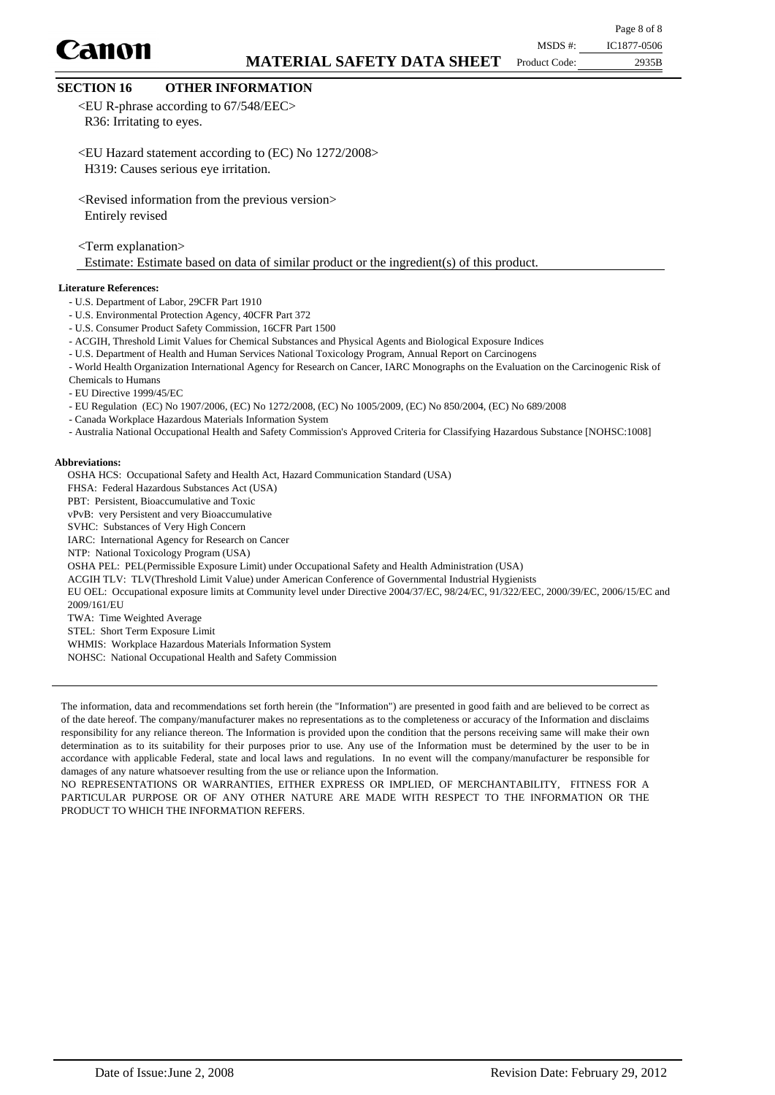Canon

#### **SECTION 16 OTHER INFORMATION**

<EU R-phrase according to 67/548/EEC> R36: Irritating to eyes.

<EU Hazard statement according to (EC) No 1272/2008> H319: Causes serious eye irritation.

<Revised information from the previous version> Entirely revised

<Term explanation>

Estimate: Estimate based on data of similar product or the ingredient(s) of this product.

#### **Literature References:**

- U.S. Department of Labor, 29CFR Part 1910

- U.S. Environmental Protection Agency, 40CFR Part 372
- U.S. Consumer Product Safety Commission, 16CFR Part 1500
- ACGIH, Threshold Limit Values for Chemical Substances and Physical Agents and Biological Exposure Indices
- U.S. Department of Health and Human Services National Toxicology Program, Annual Report on Carcinogens
- World Health Organization International Agency for Research on Cancer, IARC Monographs on the Evaluation on the Carcinogenic Risk of
- Chemicals to Humans
- EU Directive 1999/45/EC

- EU Regulation (EC) No 1907/2006, (EC) No 1272/2008, (EC) No 1005/2009, (EC) No 850/2004, (EC) No 689/2008

- Canada Workplace Hazardous Materials Information System
- Australia National Occupational Health and Safety Commission's Approved Criteria for Classifying Hazardous Substance [NOHSC:1008]

#### **Abbreviations:**

OSHA HCS: Occupational Safety and Health Act, Hazard Communication Standard (USA)

FHSA: Federal Hazardous Substances Act (USA)

PBT: Persistent, Bioaccumulative and Toxic

vPvB: very Persistent and very Bioaccumulative

SVHC: Substances of Very High Concern

IARC: International Agency for Research on Cancer

NTP: National Toxicology Program (USA)

- OSHA PEL: PEL(Permissible Exposure Limit) under Occupational Safety and Health Administration (USA)
- ACGIH TLV: TLV(Threshold Limit Value) under American Conference of Governmental Industrial Hygienists
- EU OEL: Occupational exposure limits at Community level under Directive 2004/37/EC, 98/24/EC, 91/322/EEC, 2000/39/EC, 2006/15/EC and 2009/161/EU
- TWA: Time Weighted Average

STEL: Short Term Exposure Limit

WHMIS: Workplace Hazardous Materials Information System

NOHSC: National Occupational Health and Safety Commission

The information, data and recommendations set forth herein (the "Information") are presented in good faith and are believed to be correct as of the date hereof. The company/manufacturer makes no representations as to the completeness or accuracy of the Information and disclaims responsibility for any reliance thereon. The Information is provided upon the condition that the persons receiving same will make their own determination as to its suitability for their purposes prior to use. Any use of the Information must be determined by the user to be in accordance with applicable Federal, state and local laws and regulations. In no event will the company/manufacturer be responsible for damages of any nature whatsoever resulting from the use or reliance upon the Information.

NO REPRESENTATIONS OR WARRANTIES, EITHER EXPRESS OR IMPLIED, OF MERCHANTABILITY, FITNESS FOR A PARTICULAR PURPOSE OR OF ANY OTHER NATURE ARE MADE WITH RESPECT TO THE INFORMATION OR THE PRODUCT TO WHICH THE INFORMATION REFERS.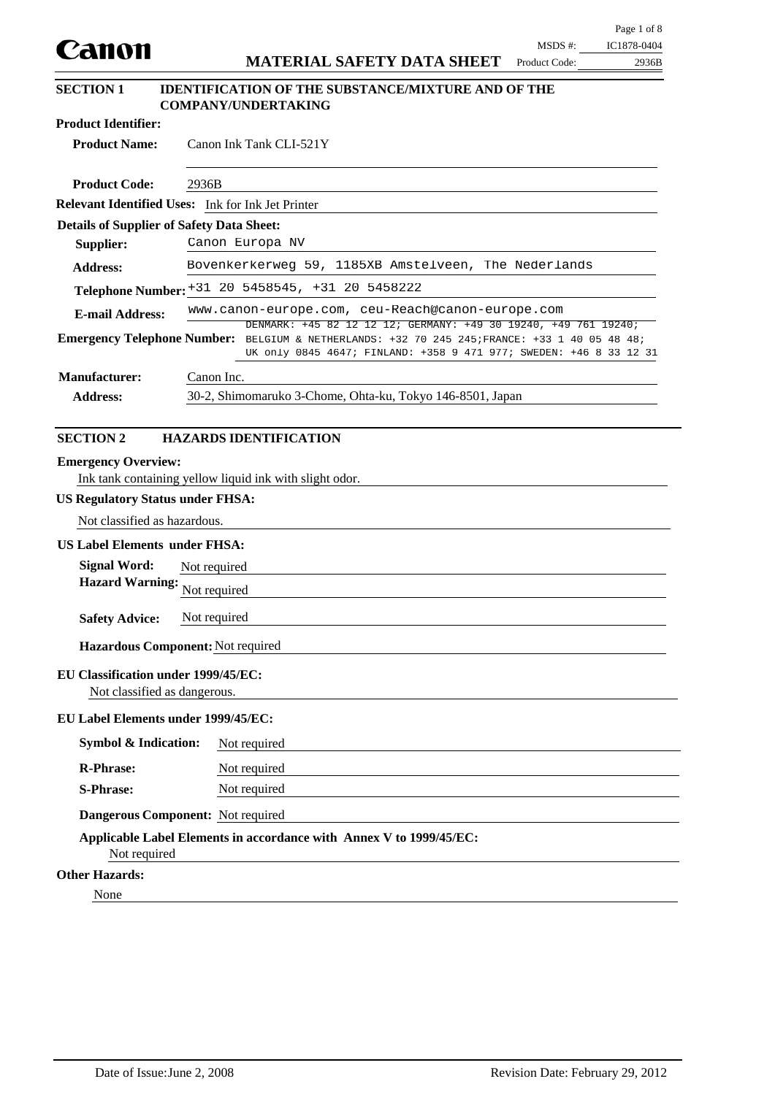## **SECTION 1 IDENTIFICATION OF THE SUBSTANCE/MIXTURE AND OF THE COMPANY/UNDERTAKING**

| <b>Product Identifier:</b>                                                                                                                                                                                                                                                                          |                                                                                                                                                                      |  |  |  |  |  |
|-----------------------------------------------------------------------------------------------------------------------------------------------------------------------------------------------------------------------------------------------------------------------------------------------------|----------------------------------------------------------------------------------------------------------------------------------------------------------------------|--|--|--|--|--|
| <b>Product Name:</b>                                                                                                                                                                                                                                                                                | Canon Ink Tank CLI-521Y                                                                                                                                              |  |  |  |  |  |
|                                                                                                                                                                                                                                                                                                     |                                                                                                                                                                      |  |  |  |  |  |
| <b>Product Code:</b>                                                                                                                                                                                                                                                                                | 2936B                                                                                                                                                                |  |  |  |  |  |
|                                                                                                                                                                                                                                                                                                     | Relevant Identified Uses: Ink for Ink Jet Printer                                                                                                                    |  |  |  |  |  |
| <b>Details of Supplier of Safety Data Sheet:</b>                                                                                                                                                                                                                                                    |                                                                                                                                                                      |  |  |  |  |  |
| Supplier:                                                                                                                                                                                                                                                                                           | Canon Europa NV                                                                                                                                                      |  |  |  |  |  |
| <b>Address:</b>                                                                                                                                                                                                                                                                                     | Bovenkerkerweg 59, 1185XB Amstelveen, The Nederlands                                                                                                                 |  |  |  |  |  |
|                                                                                                                                                                                                                                                                                                     | Telephone Number: +31 20 5458545, +31 20 5458222                                                                                                                     |  |  |  |  |  |
| <b>E-mail Address:</b>                                                                                                                                                                                                                                                                              | www.canon-europe.com, ceu-Reach@canon-europe.com<br>DENMARK: +45 82 12 12 12; GERMANY: +49 30 19240, +49 761 19240;                                                  |  |  |  |  |  |
|                                                                                                                                                                                                                                                                                                     | Emergency Telephone Number: BELGIUM & NETHERLANDS: +32 70 245 245 ; FRANCE: +33 1 40 05 48 48;<br>UK only 0845 4647; FINLAND: +358 9 471 977; SWEDEN: +46 8 33 12 31 |  |  |  |  |  |
| <b>Manufacturer:</b>                                                                                                                                                                                                                                                                                | Canon Inc.                                                                                                                                                           |  |  |  |  |  |
| <b>Address:</b>                                                                                                                                                                                                                                                                                     | 30-2, Shimomaruko 3-Chome, Ohta-ku, Tokyo 146-8501, Japan                                                                                                            |  |  |  |  |  |
| <b>Emergency Overview:</b><br><b>US Regulatory Status under FHSA:</b><br>Not classified as hazardous.<br><b>US Label Elements under FHSA:</b><br><b>Signal Word:</b><br><b>Hazard Warning:</b><br><b>Safety Advice:</b><br>Hazardous Component: Not required<br>EU Classification under 1999/45/EC: | Ink tank containing yellow liquid ink with slight odor.<br>Not required<br>Not required<br>Not required                                                              |  |  |  |  |  |
| Not classified as dangerous.                                                                                                                                                                                                                                                                        |                                                                                                                                                                      |  |  |  |  |  |
| EU Label Elements under 1999/45/EC:                                                                                                                                                                                                                                                                 |                                                                                                                                                                      |  |  |  |  |  |
| <b>Symbol &amp; Indication:</b>                                                                                                                                                                                                                                                                     | Not required                                                                                                                                                         |  |  |  |  |  |
| <b>R-Phrase:</b>                                                                                                                                                                                                                                                                                    | Not required                                                                                                                                                         |  |  |  |  |  |
| <b>S-Phrase:</b>                                                                                                                                                                                                                                                                                    | Not required                                                                                                                                                         |  |  |  |  |  |
|                                                                                                                                                                                                                                                                                                     | Dangerous Component: Not required                                                                                                                                    |  |  |  |  |  |
| Not required                                                                                                                                                                                                                                                                                        | Applicable Label Elements in accordance with Annex V to 1999/45/EC:                                                                                                  |  |  |  |  |  |

#### **Other Hazards:**

None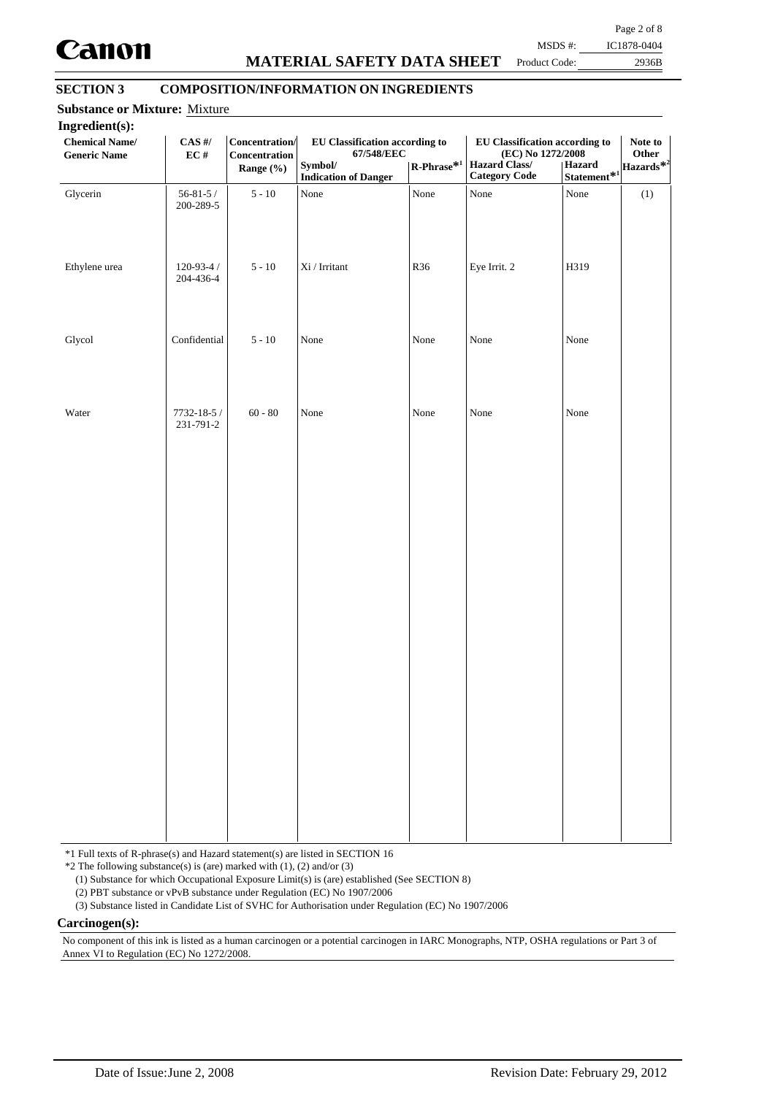

# **MATERIAL SAFETY DATA SHEET**

Page 2 of 8 MSDS #: IC1878-0404

Product Code:

2936B

#### **SECTION 3 COMPOSITION/INFORMATION ON INGREDIENTS**

| Ingredient(s):<br><b>Chemical Name/</b><br><b>Generic Name</b> | $\mathbf{CAS}$ #/<br>$\mathbf{EC} \ \#$ | Concentration/<br>Concentration<br>Range (%) | EU Classification according to<br>67/548/EEC<br>Symbol/<br><b>Indication of Danger</b> | $\mathbf{R}\text{-Phrase}^{*1}$ | EU Classification according to<br>(EC) No 1272/2008<br>Hazard Class/<br><b>Category Code</b> | Hazard<br>$Statement*1$ | Note to<br>Other<br>Hazards <sup>*2</sup> |
|----------------------------------------------------------------|-----------------------------------------|----------------------------------------------|----------------------------------------------------------------------------------------|---------------------------------|----------------------------------------------------------------------------------------------|-------------------------|-------------------------------------------|
| Glycerin                                                       | $56 - 81 - 5/$<br>200-289-5             | $5 - 10$                                     | None                                                                                   | None                            | None                                                                                         | None                    | (1)                                       |
| Ethylene urea                                                  | $120 - 93 - 4/$<br>204-436-4            | $5 - 10$                                     | $\rm{Xi}$ / Irritant                                                                   | R36                             | Eye Irrit. 2                                                                                 | H319                    |                                           |
| Glycol                                                         | Confidential                            | $5 - 10$                                     | None                                                                                   | None                            | None                                                                                         | None                    |                                           |
| Water                                                          | $7732 - 18 - 5/$<br>231-791-2           | $60 - 80$                                    | None                                                                                   | None                            | None                                                                                         | None                    |                                           |
|                                                                |                                         |                                              |                                                                                        |                                 |                                                                                              |                         |                                           |
|                                                                |                                         |                                              |                                                                                        |                                 |                                                                                              |                         |                                           |
|                                                                |                                         |                                              |                                                                                        |                                 |                                                                                              |                         |                                           |
|                                                                |                                         |                                              |                                                                                        |                                 |                                                                                              |                         |                                           |
|                                                                |                                         |                                              |                                                                                        |                                 |                                                                                              |                         |                                           |

\*1 Full texts of R-phrase(s) and Hazard statement(s) are listed in SECTION 16

 $*2$  The following substance(s) is (are) marked with (1), (2) and/or (3)

(1) Substance for which Occupational Exposure Limit(s) is (are) established (See SECTION 8)

(2) PBT substance or vPvB substance under Regulation (EC) No 1907/2006

(3) Substance listed in Candidate List of SVHC for Authorisation under Regulation (EC) No 1907/2006

**Carcinogen(s):**

No component of this ink is listed as a human carcinogen or a potential carcinogen in IARC Monographs, NTP, OSHA regulations or Part 3 of Annex VI to Regulation (EC) No 1272/2008.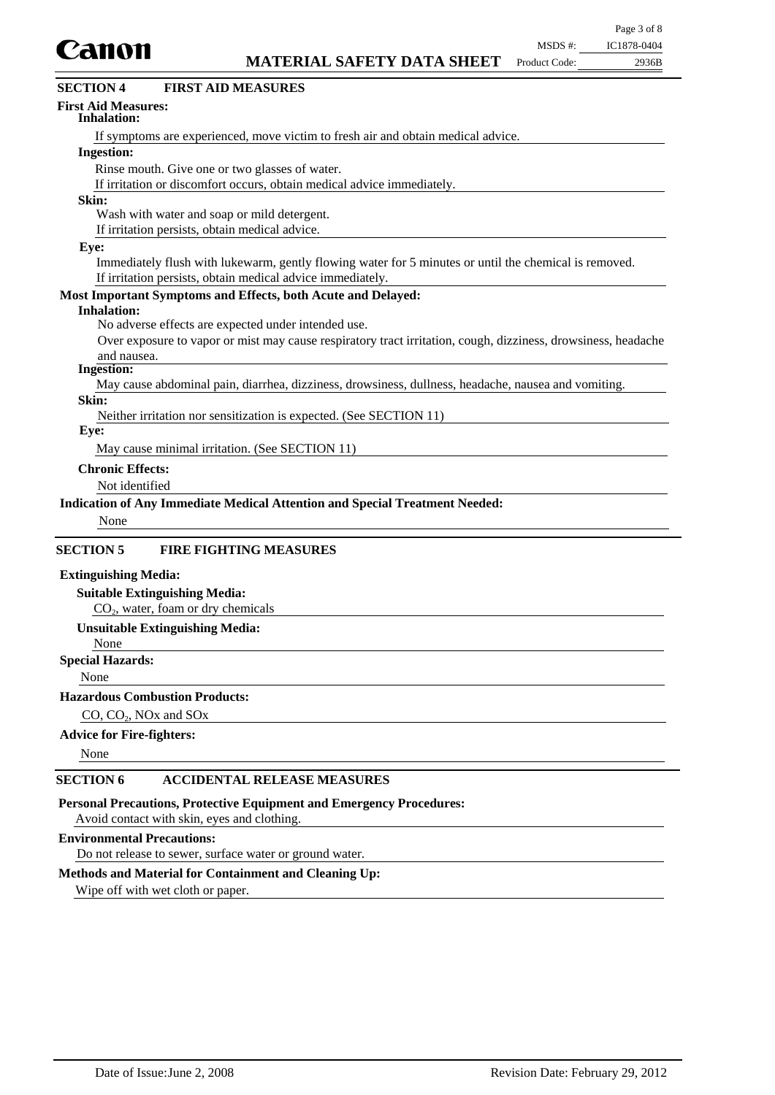

| Canon                                                                                                         | MSDS #:       | IC1878-0404 |
|---------------------------------------------------------------------------------------------------------------|---------------|-------------|
| <b>MATERIAL SAFETY DATA SHEET</b>                                                                             | Product Code: | 2936B       |
| <b>FIRST AID MEASURES</b><br><b>SECTION 4</b>                                                                 |               |             |
| <b>First Aid Measures:</b><br>Inhalation:                                                                     |               |             |
| If symptoms are experienced, move victim to fresh air and obtain medical advice.                              |               |             |
| <b>Ingestion:</b>                                                                                             |               |             |
| Rinse mouth. Give one or two glasses of water.                                                                |               |             |
| If irritation or discomfort occurs, obtain medical advice immediately.                                        |               |             |
| Skin:                                                                                                         |               |             |
| Wash with water and soap or mild detergent.                                                                   |               |             |
| If irritation persists, obtain medical advice.                                                                |               |             |
| Eye:                                                                                                          |               |             |
| Immediately flush with lukewarm, gently flowing water for 5 minutes or until the chemical is removed.         |               |             |
| If irritation persists, obtain medical advice immediately.                                                    |               |             |
| Most Important Symptoms and Effects, both Acute and Delayed:                                                  |               |             |
| <b>Inhalation:</b>                                                                                            |               |             |
| No adverse effects are expected under intended use.                                                           |               |             |
| Over exposure to vapor or mist may cause respiratory tract irritation, cough, dizziness, drowsiness, headache |               |             |
| and nausea.                                                                                                   |               |             |
| <b>Ingestion:</b>                                                                                             |               |             |
| May cause abdominal pain, diarrhea, dizziness, drowsiness, dullness, headache, nausea and vomiting.           |               |             |
| Skin:                                                                                                         |               |             |
| Neither irritation nor sensitization is expected. (See SECTION 11)<br>Eye:                                    |               |             |
| May cause minimal irritation. (See SECTION 11)                                                                |               |             |
| <b>Chronic Effects:</b>                                                                                       |               |             |
| Not identified                                                                                                |               |             |
| <b>Indication of Any Immediate Medical Attention and Special Treatment Needed:</b>                            |               |             |
|                                                                                                               |               |             |
| None                                                                                                          |               |             |
| <b>FIRE FIGHTING MEASURES</b><br><b>SECTION 5</b>                                                             |               |             |
| <b>Extinguishing Media:</b>                                                                                   |               |             |
| <b>Suitable Extinguishing Media:</b>                                                                          |               |             |
| $CO2$ , water, foam or dry chemicals                                                                          |               |             |
| <b>Unsuitable Extinguishing Media:</b>                                                                        |               |             |
| None                                                                                                          |               |             |
| <b>Special Hazards:</b>                                                                                       |               |             |

None

#### **Hazardous Combustion Products:**

CO,  $CO<sub>2</sub>$ , NOx and SOx

#### **Advice for Fire-fighters:**

None

#### **SECTION 6 ACCIDENTAL RELEASE MEASURES**

**Personal Precautions, Protective Equipment and Emergency Procedures:**

# Avoid contact with skin, eyes and clothing.

#### **Environmental Precautions:**

Do not release to sewer, surface water or ground water.

#### **Methods and Material for Containment and Cleaning Up:**

Wipe off with wet cloth or paper.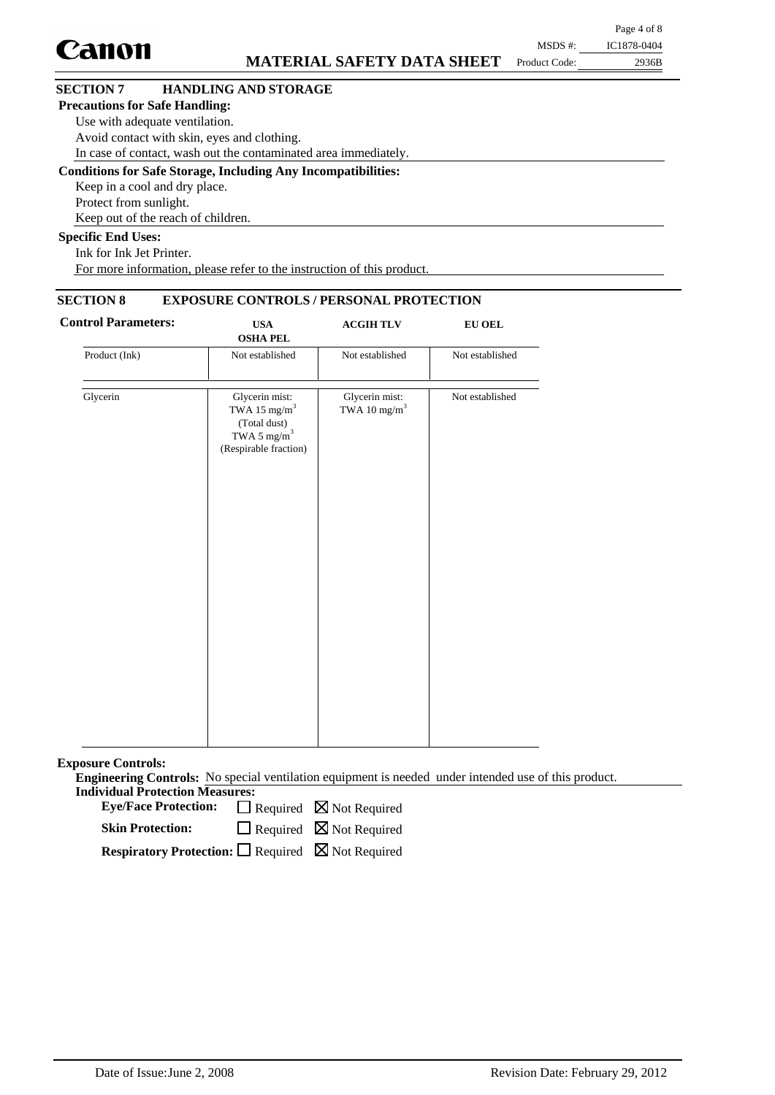|                                       |                                                                      |               | Page 4 of 8 |
|---------------------------------------|----------------------------------------------------------------------|---------------|-------------|
| <b>Canon</b>                          |                                                                      | MSDS #:       | IC1878-0404 |
|                                       | <b>MATERIAL SAFETY DATA SHEET</b>                                    | Product Code: | 2936B       |
| <b>SECTION 7</b>                      | <b>HANDLING AND STORAGE</b>                                          |               |             |
| <b>Precautions for Safe Handling:</b> |                                                                      |               |             |
| Use with adequate ventilation.        |                                                                      |               |             |
|                                       | Avoid contact with skin, eyes and clothing.                          |               |             |
|                                       | In case of contact, wash out the contaminated area immediately.      |               |             |
|                                       | <b>Conditions for Safe Storage, Including Any Incompatibilities:</b> |               |             |
| Keep in a cool and dry place.         |                                                                      |               |             |
| Protect from sunlight.                |                                                                      |               |             |
|                                       | Keep out of the reach of children.                                   |               |             |
| <b>Specific End Uses:</b>             |                                                                      |               |             |
| Ink for Ink Jet Printer.              |                                                                      |               |             |

For more information, please refer to the instruction of this product.

#### **SECTION 8 EXPOSURE CONTROLS / PERSONAL PROTECTION**

| <b>Control Parameters:</b> | <b>USA</b><br><b>OSHA PEL</b>                                                                                  | <b>ACGIH TLV</b>                           | ${\bf EU}$ OEL  |
|----------------------------|----------------------------------------------------------------------------------------------------------------|--------------------------------------------|-----------------|
| Product (Ink)              | Not established                                                                                                | Not established                            | Not established |
| Glycerin                   | Glycerin mist:<br>TWA 15 mg/m <sup>3</sup><br>(Total dust)<br>TWA 5 $\mathrm{mg/m}^3$<br>(Respirable fraction) | Glycerin mist:<br>TWA 10 mg/m <sup>3</sup> | Not established |
|                            |                                                                                                                |                                            |                 |

**Exposure Controls:**

**Engineering Controls:** No special ventilation equipment is needed under intended use of this product. **Individual Protection Measures:**

Eye/Face Protection:  $\Box$  Required  $\boxtimes$  Not Required

 $\Box$  Required  $\boxtimes$  Not Required **Skin Protection:**

**Respiratory Protection:** □ Required ⊠ Not Required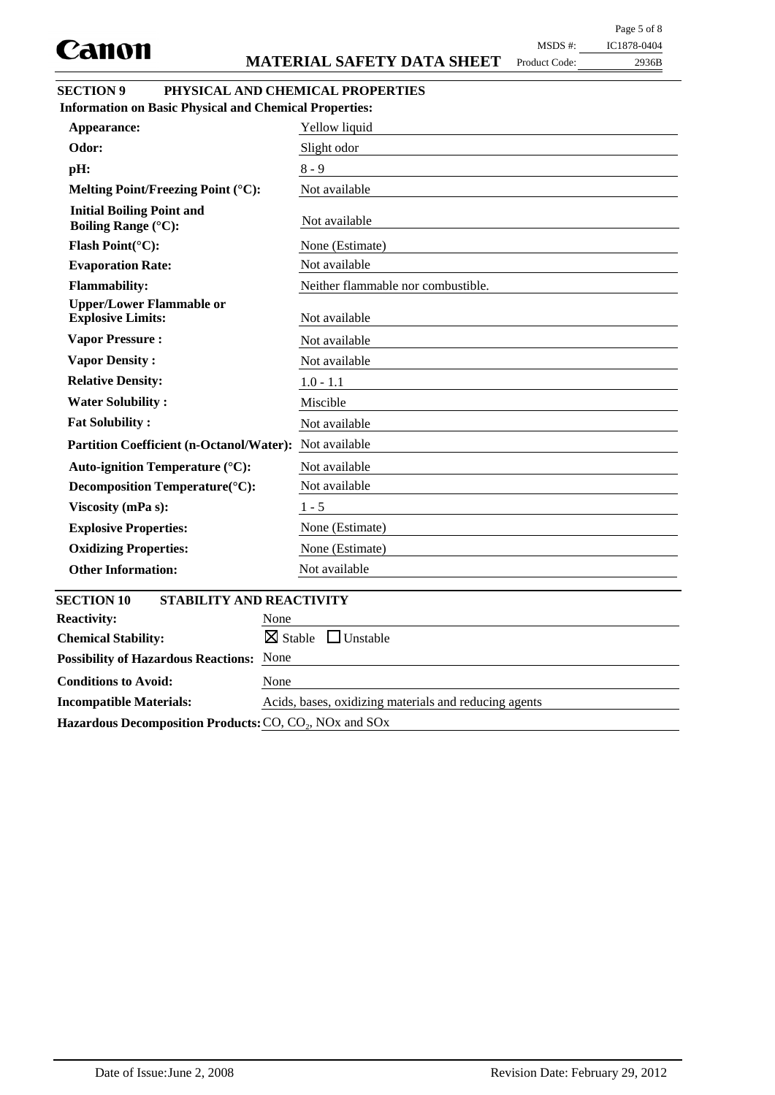Page 5 of 8 MSDS #: IC1878-0404

Product Code:

2936B

# **SECTION 9 PHYSICAL AND CHEMICAL PROPERTIES**

| <b>Information on Basic Physical and Chemical Properties:</b>  |                                    |  |  |  |  |
|----------------------------------------------------------------|------------------------------------|--|--|--|--|
| Appearance:                                                    | Yellow liquid                      |  |  |  |  |
| Odor:                                                          | Slight odor                        |  |  |  |  |
| pH:                                                            | $8 - 9$                            |  |  |  |  |
| Melting Point/Freezing Point (°C):                             | Not available                      |  |  |  |  |
| <b>Initial Boiling Point and</b><br><b>Boiling Range (°C):</b> | Not available                      |  |  |  |  |
| Flash Point(°C):                                               | None (Estimate)                    |  |  |  |  |
| <b>Evaporation Rate:</b>                                       | Not available                      |  |  |  |  |
| <b>Flammability:</b>                                           | Neither flammable nor combustible. |  |  |  |  |
| <b>Upper/Lower Flammable or</b><br><b>Explosive Limits:</b>    | Not available                      |  |  |  |  |
| <b>Vapor Pressure:</b>                                         | Not available                      |  |  |  |  |
| <b>Vapor Density:</b>                                          | Not available                      |  |  |  |  |
| <b>Relative Density:</b>                                       | $1.0 - 1.1$                        |  |  |  |  |
| <b>Water Solubility:</b>                                       | Miscible                           |  |  |  |  |
| <b>Fat Solubility:</b>                                         | Not available                      |  |  |  |  |
| <b>Partition Coefficient (n-Octanol/Water):</b>                | Not available                      |  |  |  |  |
| Auto-ignition Temperature (°C):                                | Not available                      |  |  |  |  |
| Decomposition Temperature(°C):                                 | Not available                      |  |  |  |  |
| Viscosity (mPa s):                                             | $1 - 5$                            |  |  |  |  |
| <b>Explosive Properties:</b>                                   | None (Estimate)                    |  |  |  |  |
| <b>Oxidizing Properties:</b>                                   | None (Estimate)                    |  |  |  |  |
| <b>Other Information:</b>                                      | Not available                      |  |  |  |  |
| <b>SECTION 10</b><br><b>STABILITY AND REACTIVITY</b>           |                                    |  |  |  |  |
| <b>Reactivity:</b><br>None                                     |                                    |  |  |  |  |
| $\boxtimes$ Stable<br><b>Chemical Stability:</b>               | $\Box$ Unstable                    |  |  |  |  |
| <b>Possibility of Hazardous Reactions: None</b>                |                                    |  |  |  |  |

**Incompatible Materials:** Acids, bases, oxidizing materials and reducing agents Hazardous Decomposition Products: CO, CO<sub>2</sub>, NO<sub>x</sub> and SO<sub>x</sub>

**Conditions to Avoid:** None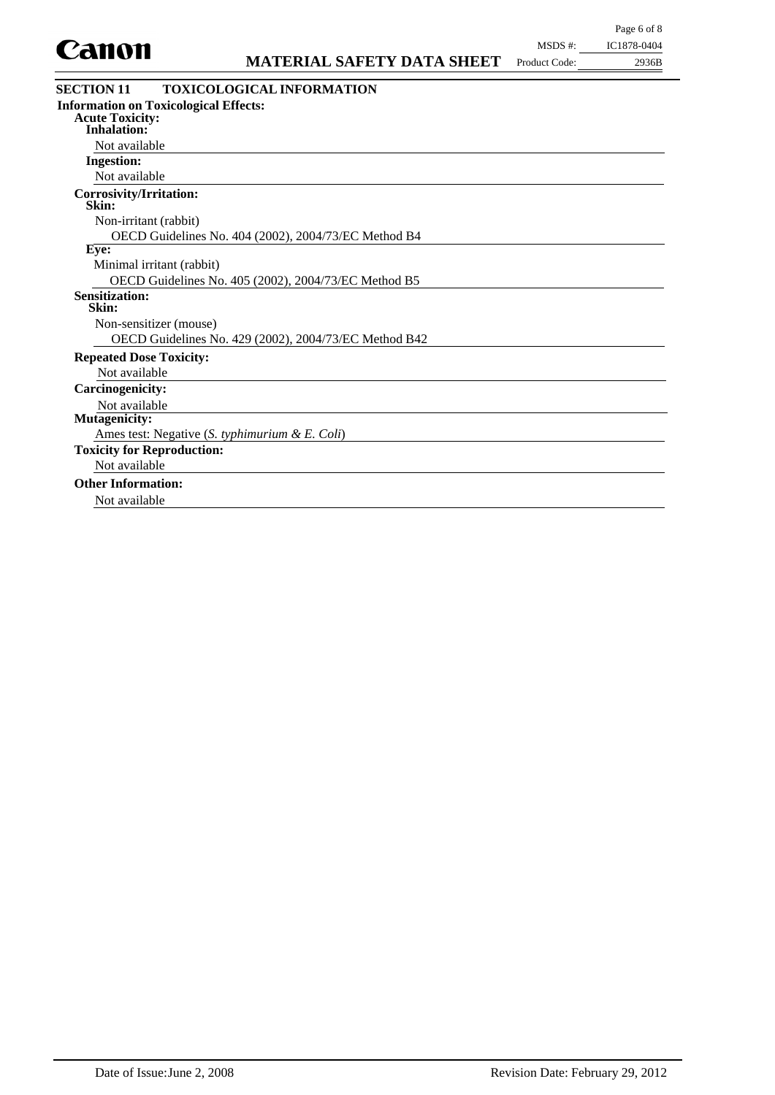

| <b>SECTION 11</b><br><b>TOXICOLOGICAL INFORMATION</b> |  |
|-------------------------------------------------------|--|
|                                                       |  |
| <b>Information on Toxicological Effects:</b>          |  |
| <b>Acute Toxicity:</b>                                |  |
| <b>Inhalation:</b>                                    |  |
| Not available                                         |  |
| <b>Ingestion:</b>                                     |  |
| Not available                                         |  |
| Corrosivity/Irritation:<br>Skin:                      |  |
| Non-irritant (rabbit)                                 |  |
| OECD Guidelines No. 404 (2002), 2004/73/EC Method B4  |  |
| Eve:                                                  |  |
| Minimal irritant (rabbit)                             |  |
| OECD Guidelines No. 405 (2002), 2004/73/EC Method B5  |  |
| <b>Sensitization:</b><br>Skin:                        |  |
| Non-sensitizer (mouse)                                |  |
| OECD Guidelines No. 429 (2002), 2004/73/EC Method B42 |  |
| <b>Repeated Dose Toxicity:</b>                        |  |
| Not available                                         |  |
| <b>Carcinogenicity:</b>                               |  |
| Not available                                         |  |
| <b>Mutagenicity:</b>                                  |  |
| Ames test: Negative (S. typhimurium & E. Coli)        |  |
| <b>Toxicity for Reproduction:</b>                     |  |
| Not available                                         |  |
| <b>Other Information:</b>                             |  |

Not available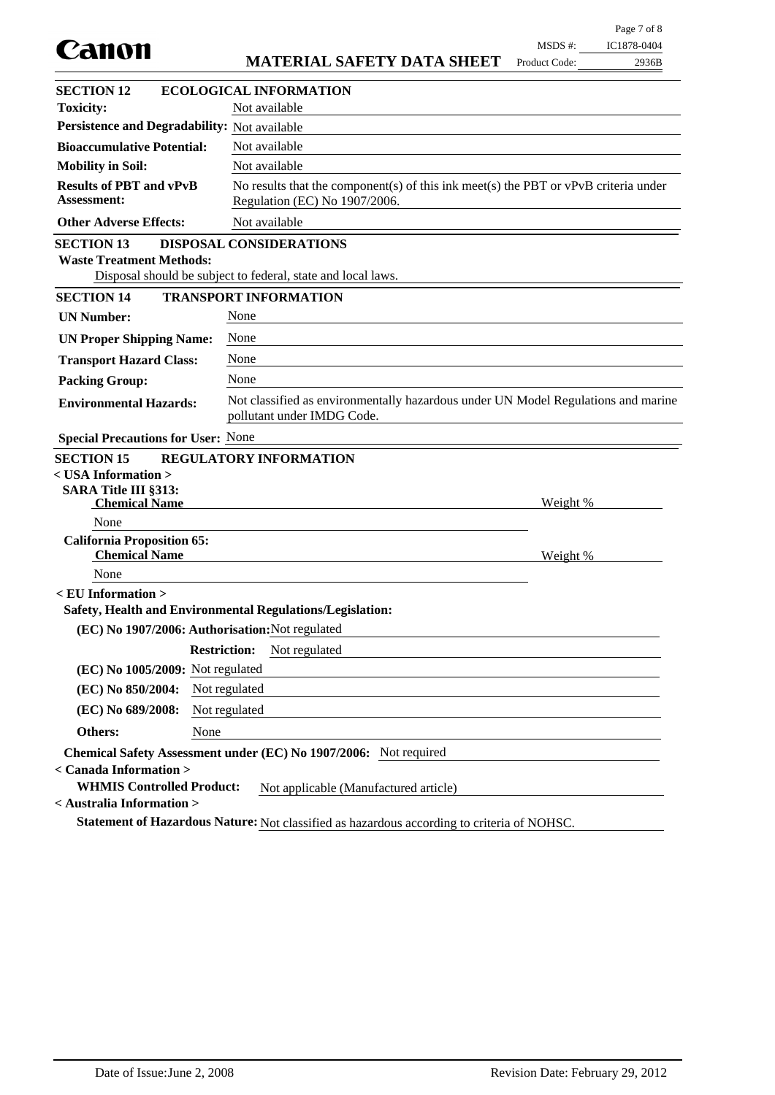| Canon                                                                                               |                                                                                                                        | MSDS #:       | IC1878-0404 |
|-----------------------------------------------------------------------------------------------------|------------------------------------------------------------------------------------------------------------------------|---------------|-------------|
|                                                                                                     | <b>MATERIAL SAFETY DATA SHEET</b>                                                                                      | Product Code: | 2936B       |
| <b>SECTION 12</b>                                                                                   | <b>ECOLOGICAL INFORMATION</b>                                                                                          |               |             |
| <b>Toxicity:</b>                                                                                    | Not available                                                                                                          |               |             |
| Persistence and Degradability: Not available                                                        |                                                                                                                        |               |             |
| <b>Bioaccumulative Potential:</b>                                                                   | Not available                                                                                                          |               |             |
| <b>Mobility in Soil:</b>                                                                            | Not available                                                                                                          |               |             |
| <b>Results of PBT and vPvB</b><br><b>Assessment:</b>                                                | No results that the component(s) of this ink meet(s) the PBT or $vPvB$ criteria under<br>Regulation (EC) No 1907/2006. |               |             |
| <b>Other Adverse Effects:</b>                                                                       | Not available                                                                                                          |               |             |
| <b>SECTION 13</b><br><b>Waste Treatment Methods:</b>                                                | DISPOSAL CONSIDERATIONS<br>Disposal should be subject to federal, state and local laws.                                |               |             |
| <b>SECTION 14</b>                                                                                   | <b>TRANSPORT INFORMATION</b>                                                                                           |               |             |
| <b>UN Number:</b>                                                                                   | None                                                                                                                   |               |             |
| <b>UN Proper Shipping Name:</b>                                                                     | None                                                                                                                   |               |             |
| <b>Transport Hazard Class:</b>                                                                      | None                                                                                                                   |               |             |
| <b>Packing Group:</b>                                                                               | None                                                                                                                   |               |             |
| <b>Environmental Hazards:</b>                                                                       | Not classified as environmentally hazardous under UN Model Regulations and marine<br>pollutant under IMDG Code.        |               |             |
| <b>Special Precautions for User: None</b>                                                           |                                                                                                                        |               |             |
| <b>SECTION 15</b><br>$<$ USA Information $>$<br><b>SARA Title III §313:</b><br><b>Chemical Name</b> | <b>REGULATORY INFORMATION</b>                                                                                          | Weight %      |             |
| None                                                                                                |                                                                                                                        |               |             |
| <b>California Proposition 65:</b><br><b>Chemical Name</b>                                           |                                                                                                                        | Weight %      |             |
| None                                                                                                |                                                                                                                        |               |             |
| $\epsilon$ EU Information $>$                                                                       | Safety, Health and Environmental Regulations/Legislation:                                                              |               |             |
| (EC) No 1907/2006: Authorisation: Not regulated                                                     |                                                                                                                        |               |             |
|                                                                                                     | <b>Restriction:</b><br>Not regulated                                                                                   |               |             |
| (EC) No 1005/2009: Not regulated                                                                    |                                                                                                                        |               |             |
| (EC) No 850/2004:                                                                                   | Not regulated                                                                                                          |               |             |
| (EC) No 689/2008:                                                                                   | Not regulated                                                                                                          |               |             |
| None<br>Others:                                                                                     |                                                                                                                        |               |             |
|                                                                                                     | Chemical Safety Assessment under (EC) No 1907/2006: Not required                                                       |               |             |
| < Canada Information ><br><b>WHMIS Controlled Product:</b>                                          | Not applicable (Manufactured article)                                                                                  |               |             |
| < Australia Information >                                                                           |                                                                                                                        |               |             |
|                                                                                                     | Statement of Hazardous Nature: Not classified as hazardous according to criteria of NOHSC.                             |               |             |

Page 7 of 8